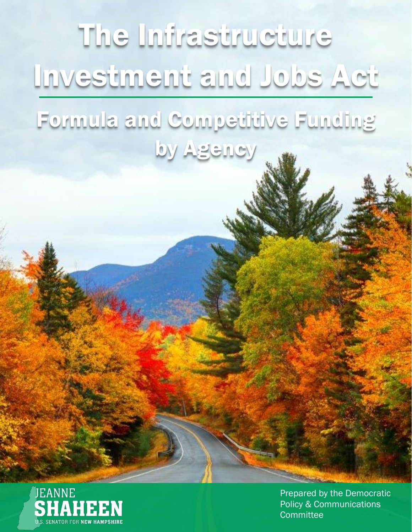



Prepared by the Democratic Policy & Communications **Committee**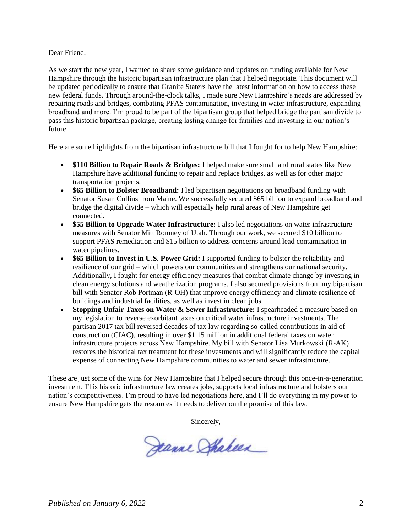#### Dear Friend,

As we start the new year, I wanted to share some guidance and updates on funding available for New Hampshire through the historic bipartisan infrastructure plan that I helped negotiate. This document will be updated periodically to ensure that Granite Staters have the latest information on how to access these new federal funds. Through around-the-clock talks, I made sure New Hampshire's needs are addressed by repairing roads and bridges, combating PFAS contamination, investing in water infrastructure, expanding broadband and more. I'm proud to be part of the bipartisan group that helped bridge the partisan divide to pass this historic bipartisan package, creating lasting change for families and investing in our nation's future.

Here are some highlights from the bipartisan infrastructure bill that I fought for to help New Hampshire:

- **\$110 Billion to Repair Roads & Bridges:** I helped make sure small and rural states like New Hampshire have additional funding to repair and replace bridges, as well as for other major transportation projects.
- **\$65 Billion to Bolster Broadband:** I led bipartisan negotiations on broadband funding with Senator Susan Collins from Maine. We successfully secured \$65 billion to expand broadband and bridge the digital divide – which will especially help rural areas of New Hampshire get connected.
- **\$55 Billion to Upgrade Water Infrastructure:** I also led negotiations on water infrastructure measures with Senator Mitt Romney of Utah. Through our work, we secured \$10 billion to support PFAS remediation and \$15 billion to address concerns around lead contamination in water pipelines.
- **\$65 Billion to Invest in U.S. Power Grid:** I supported funding to bolster the reliability and resilience of our grid – which powers our communities and strengthens our national security. Additionally, I fought for energy efficiency measures that combat climate change by investing in clean energy solutions and weatherization programs. I also secured provisions from my bipartisan bill with Senator Rob Portman (R-OH) that improve energy efficiency and climate resilience of buildings and industrial facilities, as well as invest in clean jobs.
- **Stopping Unfair Taxes on Water & Sewer Infrastructure:** I spearheaded a measure based on my legislation to reverse exorbitant taxes on critical water infrastructure investments. The partisan 2017 tax bill reversed decades of tax law regarding so-called contributions in aid of construction (CIAC), resulting in over \$1.15 million in additional federal taxes on water infrastructure projects across New Hampshire. My bill with Senator Lisa Murkowski (R-AK) restores the historical tax treatment for these investments and will significantly reduce the capital expense of connecting New Hampshire communities to water and sewer infrastructure.

These are just some of the wins for New Hampshire that I helped secure through this once-in-a-generation investment. This historic infrastructure law creates jobs, supports local infrastructure and bolsters our nation's competitiveness. I'm proud to have led negotiations here, and I'll do everything in my power to ensure New Hampshire gets the resources it needs to deliver on the promise of this law.

Sincerely,

Jeanne Shakeen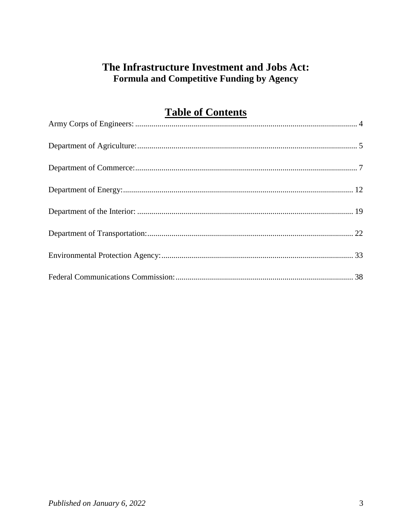# The Infrastructure Investment and Jobs Act: Formula and Competitive Funding by Agency

# **Table of Contents**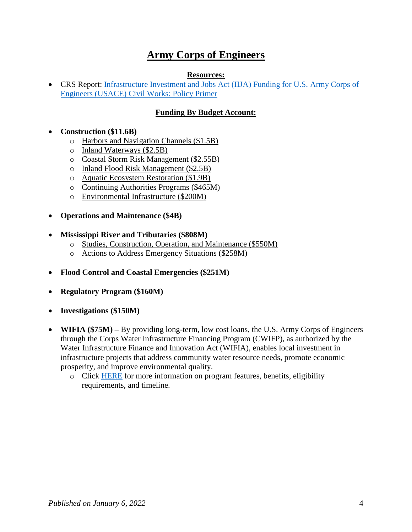# **Army Corps of Engineers**

#### **Resources:**

<span id="page-3-0"></span>• CRS Report: Infrastructure Investment and Jobs Act (IIJA) Funding for U.S. Army Corps of [Engineers \(USACE\) Civil Works: Policy Primer](https://crsreports.congress.gov/product/pdf/IN/IN11723)

### **Funding By Budget Account:**

**Construction (\$11.6B)**

- o Harbors and Navigation Channels (\$1.5B)
- o Inland Waterways (\$2.5B)
- o Coastal Storm Risk Management (\$2.55B)
- o Inland Flood Risk Management (\$2.5B)
- o Aquatic Ecosystem Restoration (\$1.9B)
- o Continuing Authorities Programs (\$465M)
- o Environmental Infrastructure (\$200M)
- **Operations and Maintenance (\$4B)**
- **Mississippi River and Tributaries (\$808M)**
	- o Studies, Construction, Operation, and Maintenance (\$550M)
	- o Actions to Address Emergency Situations (\$258M)
- **Flood Control and Coastal Emergencies (\$251M)**
- **Regulatory Program (\$160M)**
- **Investigations (\$150M)**
- **WIFIA (\$75M) –** By providing long-term, low cost loans, the U.S. Army Corps of Engineers through the Corps Water Infrastructure Financing Program (CWIFP), as authorized by the Water Infrastructure Finance and Innovation Act (WIFIA), enables local investment in infrastructure projects that address community water resource needs, promote economic prosperity, and improve environmental quality.
	- o Click [HERE](https://usace.contentdm.oclc.org/utils/getfile/collection/p16021coll11/id/5013) for more information on program features, benefits, eligibility requirements, and timeline.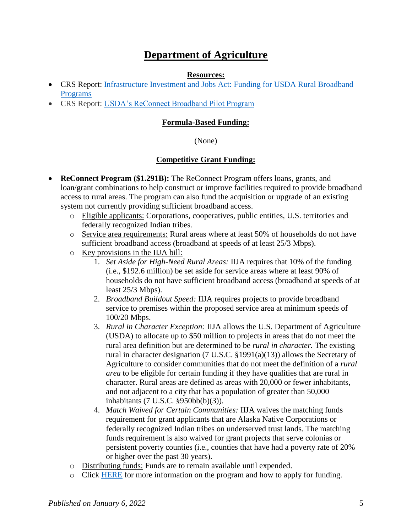# **Department of Agriculture**

#### **Resources:**

- <span id="page-4-0"></span> CRS Report: [Infrastructure Investment and Jobs Act: Funding for USDA Rural Broadband](https://crsreports.congress.gov/product/pdf/IF/IF11918)  [Programs](https://crsreports.congress.gov/product/pdf/IF/IF11918)
- CRS Report: [USDA's ReConnect Broadband Pilot Program](https://crsreports.congress.gov/product/pdf/IF/IF11262)

#### **Formula-Based Funding:**

#### (None)

## **Competitive Grant Funding:**

- **ReConnect Program (\$1.291B):** The ReConnect Program offers loans, grants, and loan/grant combinations to help construct or improve facilities required to provide broadband access to rural areas. The program can also fund the acquisition or upgrade of an existing system not currently providing sufficient broadband access.
	- o Eligible applicants: Corporations, cooperatives, public entities, U.S. territories and federally recognized Indian tribes.
	- o Service area requirements: Rural areas where at least 50% of households do not have sufficient broadband access (broadband at speeds of at least 25/3 Mbps).
	- o Key provisions in the IIJA bill:
		- 1. *Set Aside for High-Need Rural Areas:* IIJA requires that 10% of the funding (i.e., \$192.6 million) be set aside for service areas where at least 90% of households do not have sufficient broadband access (broadband at speeds of at least 25/3 Mbps).
		- 2. *Broadband Buildout Speed:* IIJA requires projects to provide broadband service to premises within the proposed service area at minimum speeds of 100/20 Mbps.
		- 3. *Rural in Character Exception:* IIJA allows the U.S. Department of Agriculture (USDA) to allocate up to \$50 million to projects in areas that do not meet the rural area definition but are determined to be *rural in character.* The existing rural in character designation (7 U.S.C. §1991(a)(13)) allows the Secretary of Agriculture to consider communities that do not meet the definition of a *rural area* to be eligible for certain funding if they have qualities that are rural in character. Rural areas are defined as areas with 20,000 or fewer inhabitants, and not adjacent to a city that has a population of greater than 50,000 inhabitants (7 U.S.C. §950bb(b)(3)).
		- 4. *Match Waived for Certain Communities:* IIJA waives the matching funds requirement for grant applicants that are Alaska Native Corporations or federally recognized Indian tribes on underserved trust lands. The matching funds requirement is also waived for grant projects that serve colonias or persistent poverty counties (i.e., counties that have had a poverty rate of 20% or higher over the past 30 years).
	- o Distributing funds: Funds are to remain available until expended.
	- o Click [HERE](https://www.usda.gov/reconnect) for more information on the program and how to apply for funding.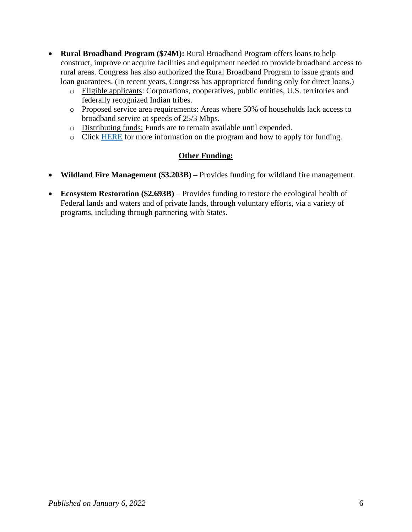- **Rural Broadband Program (\$74M):** Rural Broadband Program offers loans to help construct, improve or acquire facilities and equipment needed to provide broadband access to rural areas. Congress has also authorized the Rural Broadband Program to issue grants and loan guarantees. (In recent years, Congress has appropriated funding only for direct loans.)
	- o Eligible applicants: Corporations, cooperatives, public entities, U.S. territories and federally recognized Indian tribes.
	- o Proposed service area requirements: Areas where 50% of households lack access to broadband service at speeds of 25/3 Mbps.
	- o Distributing funds: Funds are to remain available until expended.
	- o Click [HERE](https://www.rd.usda.gov/programs-services/telecommunications-programs/rural-broadband-access-loan-and-loan-guarantee) for more information on the program and how to apply for funding.

## **Other Funding:**

- **Wildland Fire Management (\$3.203B) –** Provides funding for wildland fire management.
- **Ecosystem Restoration (\$2.693B)**  Provides funding to restore the ecological health of Federal lands and waters and of private lands, through voluntary efforts, via a variety of programs, including through partnering with States.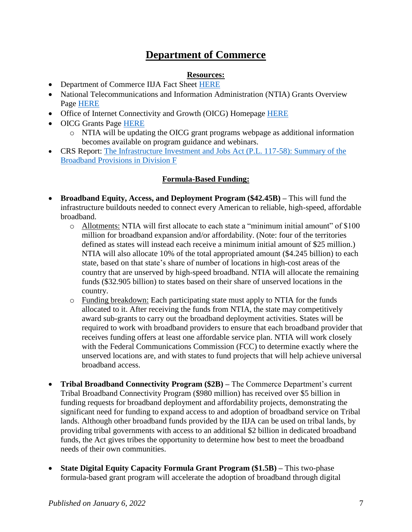# **Department of Commerce**

## **Resources:**

- <span id="page-6-0"></span>• Department of Commerce IIJA Fact Sheet [HERE](https://www.commerce.gov/news/fact-sheets/2021/11/fact-sheet-department-commerces-use-bipartisan-infrastructure-deal-funding)
- National Telecommunications and Information Administration (NTIA) Grants Overview Page [HERE](https://broadbandusa.ntia.doc.gov/resources/grant-programs)
- Office of Internet Connectivity and Growth (OICG) Homepage **HERE**
- OICG Grants Page [HERE](https://www.ntia.doc.gov/category/grants)
	- o NTIA will be updating the OICG grant programs webpage as additional information becomes available on program guidance and webinars.
- CRS Report: The Infrastructure Investment and Jobs Act (P.L. 117-58): Summary of the [Broadband Provisions in Division F](https://crsreports.congress.gov/product/pdf/R/R46967)

# **Formula-Based Funding:**

- **Broadband Equity, Access, and Deployment Program (\$42.45B) –** This will fund the infrastructure buildouts needed to connect every American to reliable, high-speed, affordable broadband.
	- o Allotments: NTIA will first allocate to each state a "minimum initial amount" of \$100 million for broadband expansion and/or affordability. (Note: four of the territories defined as states will instead each receive a minimum initial amount of \$25 million.) NTIA will also allocate 10% of the total appropriated amount (\$4.245 billion) to each state, based on that state's share of number of locations in high-cost areas of the country that are unserved by high-speed broadband. NTIA will allocate the remaining funds (\$32.905 billion) to states based on their share of unserved locations in the country.
	- o Funding breakdown: Each participating state must apply to NTIA for the funds allocated to it. After receiving the funds from NTIA, the state may competitively award sub-grants to carry out the broadband deployment activities. States will be required to work with broadband providers to ensure that each broadband provider that receives funding offers at least one affordable service plan. NTIA will work closely with the Federal Communications Commission (FCC) to determine exactly where the unserved locations are, and with states to fund projects that will help achieve universal broadband access.
- **Tribal Broadband Connectivity Program (\$2B) –** The Commerce Department's current Tribal Broadband Connectivity Program (\$980 million) has received over \$5 billion in funding requests for broadband deployment and affordability projects, demonstrating the significant need for funding to expand access to and adoption of broadband service on Tribal lands. Although other broadband funds provided by the IIJA can be used on tribal lands, by providing tribal governments with access to an additional \$2 billion in dedicated broadband funds, the Act gives tribes the opportunity to determine how best to meet the broadband needs of their own communities.
- **State Digital Equity Capacity Formula Grant Program (\$1.5B) –** This two-phase formula-based grant program will accelerate the adoption of broadband through digital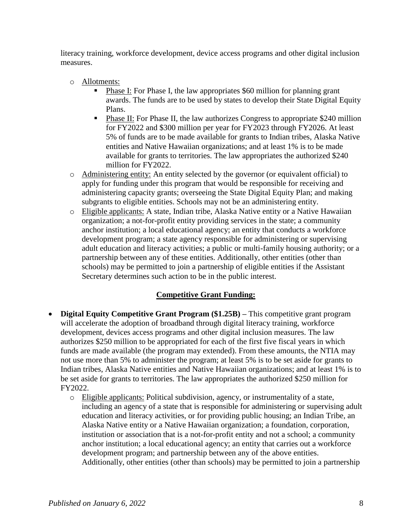literacy training, workforce development, device access programs and other digital inclusion measures.

- o Allotments:
	- Phase I: For Phase I, the law appropriates \$60 million for planning grant awards. The funds are to be used by states to develop their State Digital Equity Plans.
	- Phase II: For Phase II, the law authorizes Congress to appropriate \$240 million for FY2022 and \$300 million per year for FY2023 through FY2026. At least 5% of funds are to be made available for grants to Indian tribes, Alaska Native entities and Native Hawaiian organizations; and at least 1% is to be made available for grants to territories. The law appropriates the authorized \$240 million for FY2022.
- o Administering entity: An entity selected by the governor (or equivalent official) to apply for funding under this program that would be responsible for receiving and administering capacity grants; overseeing the State Digital Equity Plan; and making subgrants to eligible entities. Schools may not be an administering entity.
- o Eligible applicants: A state, Indian tribe, Alaska Native entity or a Native Hawaiian organization; a not-for-profit entity providing services in the state; a community anchor institution; a local educational agency; an entity that conducts a workforce development program; a state agency responsible for administering or supervising adult education and literacy activities; a public or multi-family housing authority; or a partnership between any of these entities. Additionally, other entities (other than schools) may be permitted to join a partnership of eligible entities if the Assistant Secretary determines such action to be in the public interest.

## **Competitive Grant Funding:**

- **Digital Equity Competitive Grant Program (\$1.25B) –** This competitive grant program will accelerate the adoption of broadband through digital literacy training, workforce development, devices access programs and other digital inclusion measures. The law authorizes \$250 million to be appropriated for each of the first five fiscal years in which funds are made available (the program may extended). From these amounts, the NTIA may not use more than 5% to administer the program; at least 5% is to be set aside for grants to Indian tribes, Alaska Native entities and Native Hawaiian organizations; and at least 1% is to be set aside for grants to territories. The law appropriates the authorized \$250 million for FY2022.
	- o Eligible applicants: Political subdivision, agency, or instrumentality of a state, including an agency of a state that is responsible for administering or supervising adult education and literacy activities, or for providing public housing; an Indian Tribe, an Alaska Native entity or a Native Hawaiian organization; a foundation, corporation, institution or association that is a not-for-profit entity and not a school; a community anchor institution; a local educational agency; an entity that carries out a workforce development program; and partnership between any of the above entities. Additionally, other entities (other than schools) may be permitted to join a partnership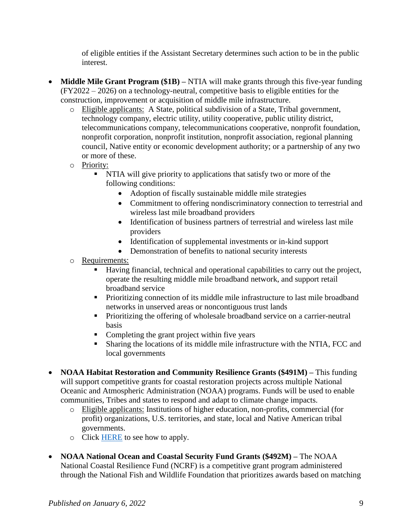of eligible entities if the Assistant Secretary determines such action to be in the public interest.

- **Middle Mile Grant Program (\$1B)** NTIA will make grants through this five-year funding (FY2022 – 2026) on a technology-neutral, competitive basis to eligible entities for the construction, improvement or acquisition of middle mile infrastructure.
	- o Eligible applicants: A State, political subdivision of a State, Tribal government, technology company, electric utility, utility cooperative, public utility district, telecommunications company, telecommunications cooperative, nonprofit foundation, nonprofit corporation, nonprofit institution, nonprofit association, regional planning council, Native entity or economic development authority; or a partnership of any two or more of these.
	- o Priority:
		- NTIA will give priority to applications that satisfy two or more of the following conditions:
			- Adoption of fiscally sustainable middle mile strategies
			- Commitment to offering nondiscriminatory connection to terrestrial and wireless last mile broadband providers
			- Identification of business partners of terrestrial and wireless last mile providers
			- Identification of supplemental investments or in-kind support
			- Demonstration of benefits to national security interests
	- o Requirements:
		- Having financial, technical and operational capabilities to carry out the project, operate the resulting middle mile broadband network, and support retail broadband service
		- Prioritizing connection of its middle mile infrastructure to last mile broadband networks in unserved areas or noncontiguous trust lands
		- **Prioritizing the offering of wholesale broadband service on a carrier-neutral** basis
		- Completing the grant project within five years
		- Sharing the locations of its middle mile infrastructure with the NTIA, FCC and local governments
- **NOAA Habitat Restoration and Community Resilience Grants (\$491M) –** This funding will support competitive grants for coastal restoration projects across multiple National Oceanic and Atmospheric Administration (NOAA) programs. Funds will be used to enable communities, Tribes and states to respond and adapt to climate change impacts.
	- o Eligible applicants: Institutions of higher education, non-profits, commercial (for profit) organizations, U.S. territories, and state, local and Native American tribal governments.
	- o Click [HERE](https://www.fisheries.noaa.gov/grant/coastal-and-marine-habitat-restoration-grants) to see how to apply.
- **NOAA National Ocean and Coastal Security Fund Grants (\$492M) –** The NOAA National Coastal Resilience Fund (NCRF) is a competitive grant program administered through the National Fish and Wildlife Foundation that prioritizes awards based on matching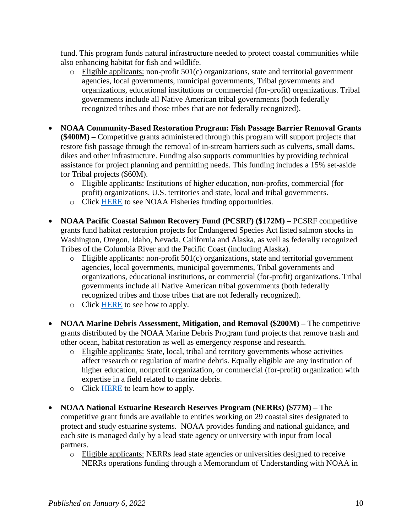fund. This program funds natural infrastructure needed to protect coastal communities while also enhancing habitat for fish and wildlife.

- $\circ$  Eligible applicants: non-profit 501(c) organizations, state and territorial government agencies, local governments, municipal governments, Tribal governments and organizations, educational institutions or commercial (for-profit) organizations. Tribal governments include all Native American tribal governments (both federally recognized tribes and those tribes that are not federally recognized).
- **NOAA Community-Based Restoration Program: Fish Passage Barrier Removal Grants (\$400M) –** Competitive grants administered through this program will support projects that restore fish passage through the removal of in-stream barriers such as culverts, small dams, dikes and other infrastructure. Funding also supports communities by providing technical assistance for project planning and permitting needs. This funding includes a 15% set-aside for Tribal projects (\$60M).
	- o Eligible applicants: Institutions of higher education, non-profits, commercial (for profit) organizations, U.S. territories and state, local and tribal governments.
	- o Click [HERE](https://www.fisheries.noaa.gov/funding-opportunities) to see NOAA Fisheries funding opportunities.
- **NOAA Pacific Coastal Salmon Recovery Fund (PCSRF) (\$172M) –** PCSRF competitive grants fund habitat restoration projects for Endangered Species Act listed salmon stocks in Washington, Oregon, Idaho, Nevada, California and Alaska, as well as federally recognized Tribes of the Columbia River and the Pacific Coast (including Alaska).
	- $\circ$  Eligible applicants: non-profit 501(c) organizations, state and territorial government agencies, local governments, municipal governments, Tribal governments and organizations, educational institutions, or commercial (for-profit) organizations. Tribal governments include all Native American tribal governments (both federally recognized tribes and those tribes that are not federally recognized).
	- o Click [HERE](https://www.fisheries.noaa.gov/grant/pacific-coastal-salmon-recovery-fund) to see how to apply.
- **NOAA Marine Debris Assessment, Mitigation, and Removal (\$200M) –** The competitive grants distributed by the NOAA Marine Debris Program fund projects that remove trash and other ocean, habitat restoration as well as emergency response and research.
	- o Eligible applicants: State, local, tribal and territory governments whose activities affect research or regulation of marine debris. Equally eligible are any institution of higher education, nonprofit organization, or commercial (for-profit) organization with expertise in a field related to marine debris.
	- o Click [HERE](https://marinedebris.noaa.gov/resources/funding-opportunities) to learn how to apply.
- **NOAA National Estuarine Research Reserves Program (NERRs) (\$77M) –** The competitive grant funds are available to entities working on 29 coastal sites designated to protect and study estuarine systems. NOAA provides funding and national guidance, and each site is managed daily by a lead state agency or university with input from local partners.
	- o Eligible applicants: NERRs lead state agencies or universities designed to receive NERRs operations funding through a Memorandum of Understanding with NOAA in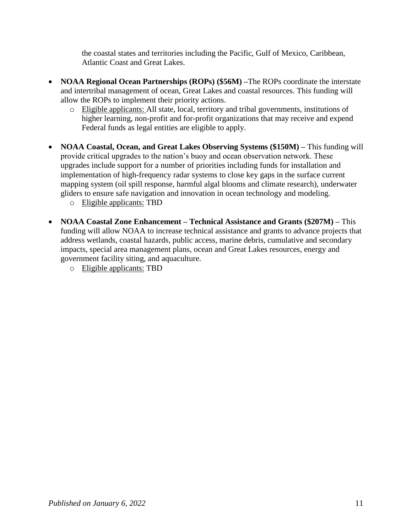the coastal states and territories including the Pacific, Gulf of Mexico, Caribbean, Atlantic Coast and Great Lakes.

- **NOAA Regional Ocean Partnerships (ROPs) (\$56M) –The ROPs coordinate the interstate** and intertribal management of ocean, Great Lakes and coastal resources. This funding will allow the ROPs to implement their priority actions.
	- o Eligible applicants: All state, local, territory and tribal governments, institutions of higher learning, non-profit and for-profit organizations that may receive and expend Federal funds as legal entities are eligible to apply.
- **NOAA Coastal, Ocean, and Great Lakes Observing Systems (\$150M) –** This funding will provide critical upgrades to the nation's buoy and ocean observation network. These upgrades include support for a number of priorities including funds for installation and implementation of high-frequency radar systems to close key gaps in the surface current mapping system (oil spill response, harmful algal blooms and climate research), underwater gliders to ensure safe navigation and innovation in ocean technology and modeling.
	- o Eligible applicants: TBD
- **NOAA Coastal Zone Enhancement – Technical Assistance and Grants (\$207M) –** This funding will allow NOAA to increase technical assistance and grants to advance projects that address wetlands, coastal hazards, public access, marine debris, cumulative and secondary impacts, special area management plans, ocean and Great Lakes resources, energy and government facility siting, and aquaculture.
	- o Eligible applicants: TBD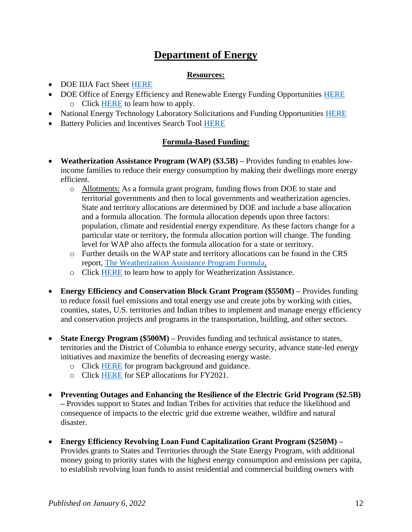# **Department of Energy**

### **Resources:**

- <span id="page-11-0"></span>• DOE IIJA Fact Sheet [HERE](https://www.energy.gov/articles/doe-fact-sheet-bipartisan-infrastructure-deal-will-deliver-american-workers-families-and-0)
- DOE Office of Energy Efficiency and Renewable Energy Funding Opportunities [HERE](https://www.energy.gov/eere/funding/eere-funding-opportunities) o Click [HERE](https://www.energy.gov/eere/apply-eere-funding-opportunities) to learn how to apply.
- National Energy Technology Laboratory Solicitations and Funding Opportunities [HERE](https://netl.doe.gov/business/solicitations)
- Battery Policies and Incentives Search Tool [HERE](https://www.energy.gov/eere/vehicles/battery-policies-and-incentives-search#/)

## **Formula-Based Funding:**

- **Weatherization Assistance Program (WAP) (\$3.5B) –** Provides funding to enables lowincome families to reduce their energy consumption by making their dwellings more energy efficient.
	- o Allotments: As a formula grant program, funding flows from DOE to state and territorial governments and then to local governments and weatherization agencies. State and territory allocations are determined by DOE and include a base allocation and a formula allocation. The formula allocation depends upon three factors: population, climate and residential energy expenditure. As these factors change for a particular state or territory, the formula allocation portion will change. The funding level for WAP also affects the formula allocation for a state or territory.
	- o Further details on the WAP state and territory allocations can be found in the CRS report, [The Weatherization Assistance Program Formula.](https://crsreports.congress.gov/product/pdf/R/R46418)
	- o Click [HERE](https://www.energy.gov/eere/wap/how-apply-weatherization-assistance#states) to learn how to apply for Weatherization Assistance.
- **Energy Efficiency and Conservation Block Grant Program (\$550M) –** Provides funding to reduce fossil fuel emissions and total energy use and create jobs by working with cities, counties, states, U.S. territories and Indian tribes to implement and manage energy efficiency and conservation projects and programs in the transportation, building, and other sectors.
- **State Energy Program (\$500M)** Provides funding and technical assistance to states, territories and the District of Columbia to enhance energy security, advance state-led energy initiatives and maximize the benefits of decreasing energy waste.
	- o Click [HERE](https://www.energy.gov/eere/wipo/state-energy-program-guidance) for program background and guidance.
	- o Click [HERE](https://www.energy.gov/sites/prod/files/2021/01/f82/FY21-SEP-Formula-Allocations.pdf) for SEP allocations for FY2021.
- **Preventing Outages and Enhancing the Resilience of the Electric Grid Program (\$2.5B) –** Provides support to States and Indian Tribes for activities that reduce the likelihood and consequence of impacts to the electric grid due extreme weather, wildfire and natural disaster.
- **Energy Efficiency Revolving Loan Fund Capitalization Grant Program (\$250M) –** Provides grants to States and Territories through the State Energy Program, with additional money going to priority states with the highest energy consumption and emissions per capita, to establish revolving loan funds to assist residential and commercial building owners with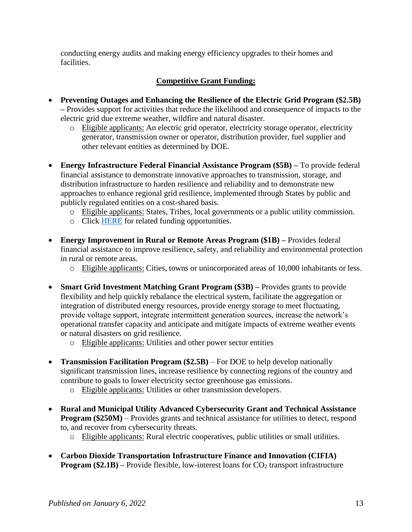conducting energy audits and making energy efficiency upgrades to their homes and facilities.

# **Competitive Grant Funding:**

- **Preventing Outages and Enhancing the Resilience of the Electric Grid Program (\$2.5B) –** Provides support for activities that reduce the likelihood and consequence of impacts to the electric grid due extreme weather, wildfire and natural disaster.
	- o Eligible applicants: An electric grid operator, electricity storage operator, electricity generator, transmission owner or operator, distribution provider, fuel supplier and other relevant entities as determined by DOE.
- **Energy Infrastructure Federal Financial Assistance Program (\$5B) –** To provide federal financial assistance to demonstrate innovative approaches to transmission, storage, and distribution infrastructure to harden resilience and reliability and to demonstrate new approaches to enhance regional grid resilience, implemented through States by public and publicly regulated entities on a cost-shared basis.
	- o Eligible applicants: States, Tribes, local governments or a public utility commission.
	- o Click [HERE](https://www.energy.gov/eere/slsc/federal-financial-assistance-programs-resilience-activities) for related funding opportunities.
- **Energy Improvement in Rural or Remote Areas Program (\$1B) –** Provides federal financial assistance to improve resilience, safety, and reliability and environmental protection in rural or remote areas.
	- o Eligible applicants: Cities, towns or unincorporated areas of 10,000 inhabitants or less.
- **Smart Grid Investment Matching Grant Program (\$3B) –** Provides grants to provide flexibility and help quickly rebalance the electrical system, facilitate the aggregation or integration of distributed energy resources, provide energy storage to meet fluctuating, provide voltage support, integrate intermittent generation sources, increase the network's operational transfer capacity and anticipate and mitigate impacts of extreme weather events or natural disasters on grid resilience.
	- o Eligible applicants: Utilities and other power sector entities
- **Transmission Facilitation Program (\$2.5B)**  For DOE to help develop nationally significant transmission lines, increase resilience by connecting regions of the country and contribute to goals to lower electricity sector greenhouse gas emissions.
	- o Eligible applicants: Utilities or other transmission developers.
- **Rural and Municipal Utility Advanced Cybersecurity Grant and Technical Assistance Program (\$250M)** – Provides grants and technical assistance for utilities to detect, respond to, and recover from cybersecurity threats.
	- o Eligible applicants: Rural electric cooperatives, public utilities or small utilities.
- **Carbon Dioxide Transportation Infrastructure Finance and Innovation (CIFIA) Program (\$2.1B)** – Provide flexible, low-interest loans for CO<sub>2</sub> transport infrastructure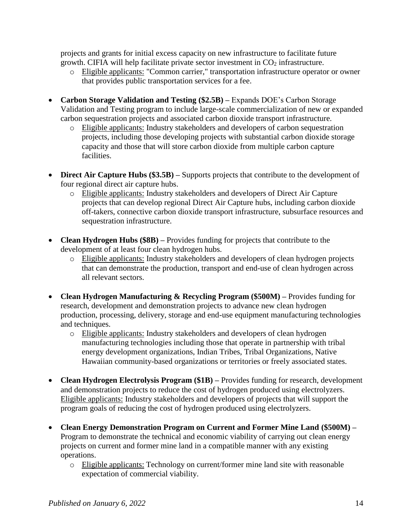projects and grants for initial excess capacity on new infrastructure to facilitate future growth. CIFIA will help facilitate private sector investment in  $CO<sub>2</sub>$  infrastructure.

- o Eligible applicants: "Common carrier," transportation infrastructure operator or owner that provides public transportation services for a fee.
- **Carbon Storage Validation and Testing (\$2.5B) –** Expands DOE's Carbon Storage Validation and Testing program to include large-scale commercialization of new or expanded carbon sequestration projects and associated carbon dioxide transport infrastructure.
	- o Eligible applicants: Industry stakeholders and developers of carbon sequestration projects, including those developing projects with substantial carbon dioxide storage capacity and those that will store carbon dioxide from multiple carbon capture facilities.
- **Direct Air Capture Hubs (\$3.5B)** Supports projects that contribute to the development of four regional direct air capture hubs.
	- o Eligible applicants: Industry stakeholders and developers of Direct Air Capture projects that can develop regional Direct Air Capture hubs, including carbon dioxide off-takers, connective carbon dioxide transport infrastructure, subsurface resources and sequestration infrastructure.
- **Clean Hydrogen Hubs (\$8B)** Provides funding for projects that contribute to the development of at least four clean hydrogen hubs.
	- o Eligible applicants: Industry stakeholders and developers of clean hydrogen projects that can demonstrate the production, transport and end-use of clean hydrogen across all relevant sectors.
- **Clean Hydrogen Manufacturing & Recycling Program (\$500M) –** Provides funding for research, development and demonstration projects to advance new clean hydrogen production, processing, delivery, storage and end-use equipment manufacturing technologies and techniques.
	- o Eligible applicants: Industry stakeholders and developers of clean hydrogen manufacturing technologies including those that operate in partnership with tribal energy development organizations, Indian Tribes, Tribal Organizations, Native Hawaiian community-based organizations or territories or freely associated states.
- **Clean Hydrogen Electrolysis Program (\$1B)** Provides funding for research, development and demonstration projects to reduce the cost of hydrogen produced using electrolyzers. Eligible applicants: Industry stakeholders and developers of projects that will support the program goals of reducing the cost of hydrogen produced using electrolyzers.
- **Clean Energy Demonstration Program on Current and Former Mine Land (\$500M) –** Program to demonstrate the technical and economic viability of carrying out clean energy projects on current and former mine land in a compatible manner with any existing operations.
	- o Eligible applicants: Technology on current/former mine land site with reasonable expectation of commercial viability.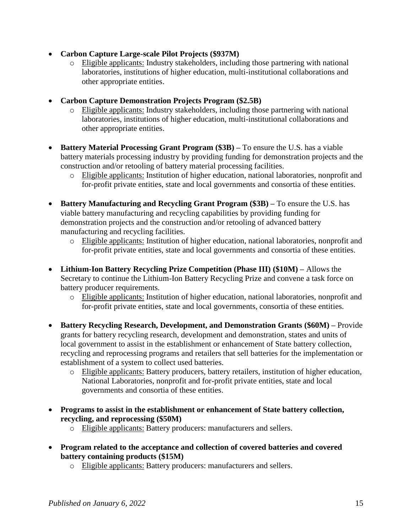- **Carbon Capture Large-scale Pilot Projects (\$937M)**
	- o Eligible applicants: Industry stakeholders, including those partnering with national laboratories, institutions of higher education, multi-institutional collaborations and other appropriate entities.
- **Carbon Capture Demonstration Projects Program (\$2.5B)**
	- o Eligible applicants: Industry stakeholders, including those partnering with national laboratories, institutions of higher education, multi-institutional collaborations and other appropriate entities.
- **Battery Material Processing Grant Program (\$3B) –** To ensure the U.S. has a viable battery materials processing industry by providing funding for demonstration projects and the construction and/or retooling of battery material processing facilities.
	- o Eligible applicants: Institution of higher education, national laboratories, nonprofit and for-profit private entities, state and local governments and consortia of these entities.
- **Battery Manufacturing and Recycling Grant Program (\$3B) –** To ensure the U.S. has viable battery manufacturing and recycling capabilities by providing funding for demonstration projects and the construction and/or retooling of advanced battery manufacturing and recycling facilities.
	- o Eligible applicants: Institution of higher education, national laboratories, nonprofit and for-profit private entities, state and local governments and consortia of these entities.
- **Lithium-Ion Battery Recycling Prize Competition (Phase III) (\$10M) –** Allows the Secretary to continue the Lithium-Ion Battery Recycling Prize and convene a task force on battery producer requirements.
	- o Eligible applicants: Institution of higher education, national laboratories, nonprofit and for-profit private entities, state and local governments, consortia of these entities.
- **Battery Recycling Research, Development, and Demonstration Grants (\$60M) –** Provide grants for battery recycling research, development and demonstration, states and units of local government to assist in the establishment or enhancement of State battery collection, recycling and reprocessing programs and retailers that sell batteries for the implementation or establishment of a system to collect used batteries.
	- o Eligible applicants: Battery producers, battery retailers, institution of higher education, National Laboratories, nonprofit and for-profit private entities, state and local governments and consortia of these entities.
- **Programs to assist in the establishment or enhancement of State battery collection, recycling, and reprocessing (\$50M)**
	- o Eligible applicants: Battery producers: manufacturers and sellers.
- **Program related to the acceptance and collection of covered batteries and covered battery containing products (\$15M)**
	- o Eligible applicants: Battery producers: manufacturers and sellers.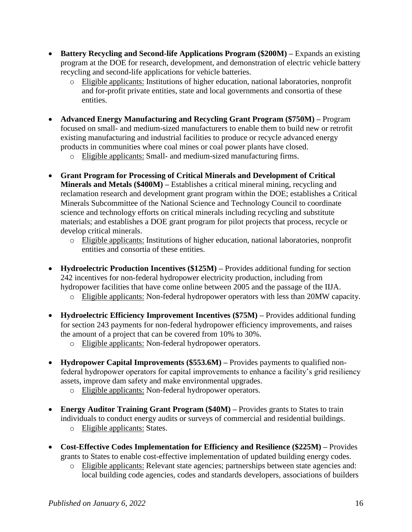- **Battery Recycling and Second-life Applications Program (\$200M) –** Expands an existing program at the DOE for research, development, and demonstration of electric vehicle battery recycling and second-life applications for vehicle batteries.
	- o Eligible applicants: Institutions of higher education, national laboratories, nonprofit and for-profit private entities, state and local governments and consortia of these entities.
- **Advanced Energy Manufacturing and Recycling Grant Program (\$750M) –** Program focused on small- and medium-sized manufacturers to enable them to build new or retrofit existing manufacturing and industrial facilities to produce or recycle advanced energy products in communities where coal mines or coal power plants have closed.
	- o Eligible applicants: Small- and medium-sized manufacturing firms.
- **Grant Program for Processing of Critical Minerals and Development of Critical Minerals and Metals (\$400M) –** Establishes a critical mineral mining, recycling and reclamation research and development grant program within the DOE; establishes a Critical Minerals Subcommittee of the National Science and Technology Council to coordinate science and technology efforts on critical minerals including recycling and substitute materials; and establishes a DOE grant program for pilot projects that process, recycle or develop critical minerals.
	- o Eligible applicants: Institutions of higher education, national laboratories, nonprofit entities and consortia of these entities.
- Hydroelectric Production Incentives (\$125M) Provides additional funding for section 242 incentives for non-federal hydropower electricity production, including from hydropower facilities that have come online between 2005 and the passage of the IIJA.
	- o Eligible applicants: Non-federal hydropower operators with less than 20MW capacity.
- **Hydroelectric Efficiency Improvement Incentives (\$75M) –** Provides additional funding for section 243 payments for non-federal hydropower efficiency improvements, and raises the amount of a project that can be covered from 10% to 30%.
	- o Eligible applicants: Non-federal hydropower operators.
- **Hydropower Capital Improvements (\$553.6M) –** Provides payments to qualified nonfederal hydropower operators for capital improvements to enhance a facility's grid resiliency assets, improve dam safety and make environmental upgrades.
	- o Eligible applicants: Non-federal hydropower operators.
- **Energy Auditor Training Grant Program (\$40M) –** Provides grants to States to train individuals to conduct energy audits or surveys of commercial and residential buildings.
	- o Eligible applicants: States.
- **Cost-Effective Codes Implementation for Efficiency and Resilience (\$225M) –** Provides grants to States to enable cost-effective implementation of updated building energy codes.
	- o Eligible applicants: Relevant state agencies; partnerships between state agencies and: local building code agencies, codes and standards developers, associations of builders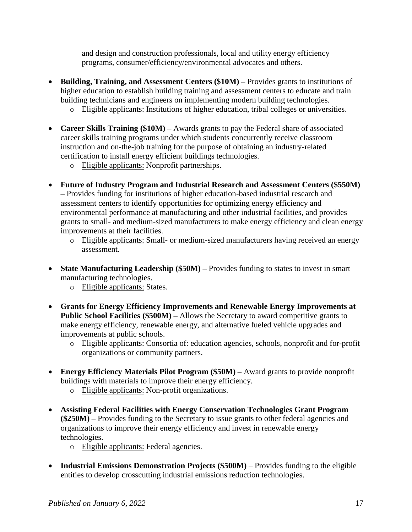and design and construction professionals, local and utility energy efficiency programs, consumer/efficiency/environmental advocates and others.

- **Building, Training, and Assessment Centers (\$10M) –** Provides grants to institutions of higher education to establish building training and assessment centers to educate and train building technicians and engineers on implementing modern building technologies.
	- o Eligible applicants: Institutions of higher education, tribal colleges or universities.
- **Career Skills Training (\$10M) –** Awards grants to pay the Federal share of associated career skills training programs under which students concurrently receive classroom instruction and on-the-job training for the purpose of obtaining an industry-related certification to install energy efficient buildings technologies.
	- o Eligible applicants: Nonprofit partnerships.
- **Future of Industry Program and Industrial Research and Assessment Centers (\$550M) –** Provides funding for institutions of higher education-based industrial research and assessment centers to identify opportunities for optimizing energy efficiency and environmental performance at manufacturing and other industrial facilities, and provides grants to small- and medium-sized manufacturers to make energy efficiency and clean energy improvements at their facilities.
	- o Eligible applicants: Small- or medium-sized manufacturers having received an energy assessment.
- State Manufacturing Leadership  $(\$50M)$  Provides funding to states to invest in smart manufacturing technologies.
	- o Eligible applicants: States.
- **Grants for Energy Efficiency Improvements and Renewable Energy Improvements at Public School Facilities (\$500M) –** Allows the Secretary to award competitive grants to make energy efficiency, renewable energy, and alternative fueled vehicle upgrades and improvements at public schools.
	- o Eligible applicants: Consortia of: education agencies, schools, nonprofit and for-profit organizations or community partners.
- **Energy Efficiency Materials Pilot Program (\$50M) –** Award grants to provide nonprofit buildings with materials to improve their energy efficiency.
	- o Eligible applicants: Non-profit organizations.
- **Assisting Federal Facilities with Energy Conservation Technologies Grant Program (\$250M) –** Provides funding to the Secretary to issue grants to other federal agencies and organizations to improve their energy efficiency and invest in renewable energy technologies.
	- o Eligible applicants: Federal agencies.
- **Industrial Emissions Demonstration Projects (\$500M)** Provides funding to the eligible entities to develop crosscutting industrial emissions reduction technologies.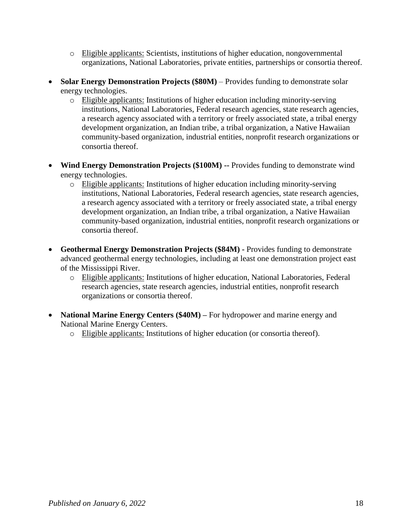- o Eligible applicants: Scientists, institutions of higher education, nongovernmental organizations, National Laboratories, private entities, partnerships or consortia thereof.
- **Solar Energy Demonstration Projects (\$80M)** Provides funding to demonstrate solar energy technologies.
	- o Eligible applicants: Institutions of higher education including minority-serving institutions, National Laboratories, Federal research agencies, state research agencies, a research agency associated with a territory or freely associated state, a tribal energy development organization, an Indian tribe, a tribal organization, a Native Hawaiian community-based organization, industrial entities, nonprofit research organizations or consortia thereof.
- **Wind Energy Demonstration Projects (\$100M) --** Provides funding to demonstrate wind energy technologies.
	- o Eligible applicants: Institutions of higher education including minority-serving institutions, National Laboratories, Federal research agencies, state research agencies, a research agency associated with a territory or freely associated state, a tribal energy development organization, an Indian tribe, a tribal organization, a Native Hawaiian community-based organization, industrial entities, nonprofit research organizations or consortia thereof.
- **Geothermal Energy Demonstration Projects (\$84M) -** Provides funding to demonstrate advanced geothermal energy technologies, including at least one demonstration project east of the Mississippi River.
	- o Eligible applicants: Institutions of higher education, National Laboratories, Federal research agencies, state research agencies, industrial entities, nonprofit research organizations or consortia thereof.
- **National Marine Energy Centers (\$40M)** For hydropower and marine energy and National Marine Energy Centers.
	- o Eligible applicants: Institutions of higher education (or consortia thereof).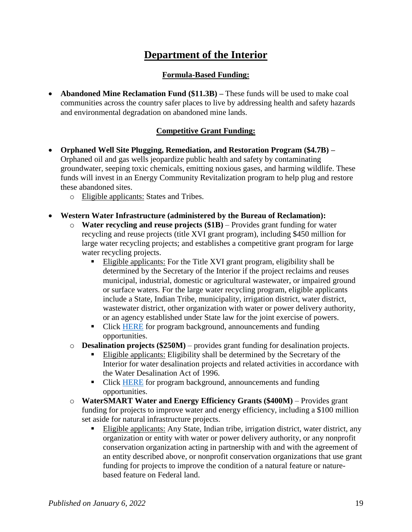# **Department of the Interior**

### **Formula-Based Funding:**

<span id="page-18-0"></span> **Abandoned Mine Reclamation Fund (\$11.3B) –** These funds will be used to make coal communities across the country safer places to live by addressing health and safety hazards and environmental degradation on abandoned mine lands.

## **Competitive Grant Funding:**

- **Orphaned Well Site Plugging, Remediation, and Restoration Program (\$4.7B) –** Orphaned oil and gas wells jeopardize public health and safety by contaminating groundwater, seeping toxic chemicals, emitting noxious gases, and harming wildlife. These funds will invest in an Energy Community Revitalization program to help plug and restore these abandoned sites.
	- o Eligible applicants: States and Tribes.
- **Western Water Infrastructure (administered by the Bureau of Reclamation):**
	- o **Water recycling and reuse projects (\$1B)** Provides grant funding for water recycling and reuse projects (title XVI grant program), including \$450 million for large water recycling projects; and establishes a competitive grant program for large water recycling projects.
		- Eligible applicants: For the Title XVI grant program, eligibility shall be determined by the Secretary of the Interior if the project reclaims and reuses municipal, industrial, domestic or agricultural wastewater, or impaired ground or surface waters. For the large water recycling program, eligible applicants include a State, Indian Tribe, municipality, irrigation district, water district, wastewater district, other organization with water or power delivery authority, or an agency established under State law for the joint exercise of powers.
		- Click [HERE](https://www.usbr.gov/watersmart/title/) for program background, announcements and funding opportunities.
	- o **Desalination projects (\$250M)** provides grant funding for desalination projects.
		- Eligible applicants: Eligibility shall be determined by the Secretary of the Interior for water desalination projects and related activities in accordance with the Water Desalination Act of 1996.
		- Click [HERE](https://www.usbr.gov/watersmart/desalination/index.html) for program background, announcements and funding opportunities.
	- o **WaterSMART Water and Energy Efficiency Grants (\$400M)** Provides grant funding for projects to improve water and energy efficiency, including a \$100 million set aside for natural infrastructure projects.
		- Eligible applicants: Any State, Indian tribe, irrigation district, water district, any organization or entity with water or power delivery authority, or any nonprofit conservation organization acting in partnership with and with the agreement of an entity described above, or nonprofit conservation organizations that use grant funding for projects to improve the condition of a natural feature or naturebased feature on Federal land.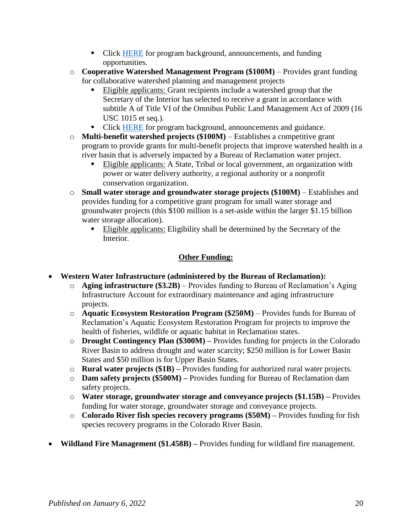- Click [HERE](https://www.usbr.gov/watersmart/) for program background, announcements, and funding opportunities.
- o **Cooperative Watershed Management Program (\$100M)** Provides grant funding for collaborative watershed planning and management projects
	- Eligible applicants: Grant recipients include a watershed group that the Secretary of the Interior has selected to receive a grant in accordance with subtitle A of Title VI of the Omnibus Public Land Management Act of 2009 (16 USC 1015 et seq.).
	- Click [HERE](https://www.usbr.gov/watersmart/cwmp/index.html) for program background, announcements and guidance.
- o **Multi-benefit watershed projects (\$100M)** Establishes a competitive grant program to provide grants for multi-benefit projects that improve watershed health in a river basin that is adversely impacted by a Bureau of Reclamation water project.
	- Eligible applicants: A State, Tribal or local government, an organization with power or water delivery authority, a regional authority or a nonprofit conservation organization.
- o **Small water storage and groundwater storage projects (\$100M)** Establishes and provides funding for a competitive grant program for small water storage and groundwater projects (this \$100 million is a set-aside within the larger \$1.15 billion water storage allocation).
	- Eligible applicants: Eligibility shall be determined by the Secretary of the Interior.

## **Other Funding:**

- **Western Water Infrastructure (administered by the Bureau of Reclamation):**
	- o **Aging infrastructure (\$3.2B)** Provides funding to Bureau of Reclamation's Aging Infrastructure Account for extraordinary maintenance and aging infrastructure projects.
	- o **Aquatic Ecosystem Restoration Program (\$250M)** Provides funds for Bureau of Reclamation's Aquatic Ecosystem Restoration Program for projects to improve the health of fisheries, wildlife or aquatic habitat in Reclamation states.
	- o **Drought Contingency Plan (\$300M) –** Provides funding for projects in the Colorado River Basin to address drought and water scarcity; \$250 million is for Lower Basin States and \$50 million is for Upper Basin States.
	- o **Rural water projects (\$1B) –** Provides funding for authorized rural water projects.
	- o **Dam safety projects (\$500M) –** Provides funding for Bureau of Reclamation dam safety projects.
	- o **Water storage, groundwater storage and conveyance projects (\$1.15B) –** Provides funding for water storage, groundwater storage and conveyance projects.
	- o **Colorado River fish species recovery programs (\$50M) –** Provides funding for fish species recovery programs in the Colorado River Basin.
- **Wildland Fire Management (\$1.458B) –** Provides funding for wildland fire management.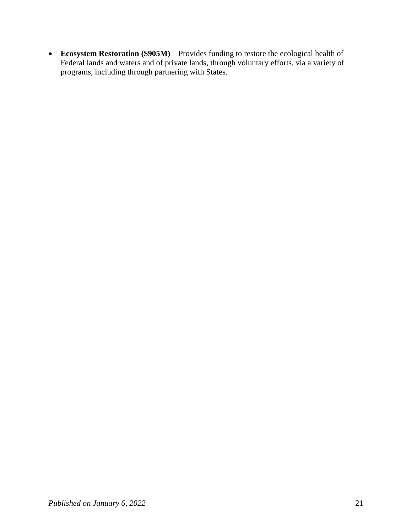**Ecosystem Restoration (\$905M)** – Provides funding to restore the ecological health of Federal lands and waters and of private lands, through voluntary efforts, via a variety of programs, including through partnering with States.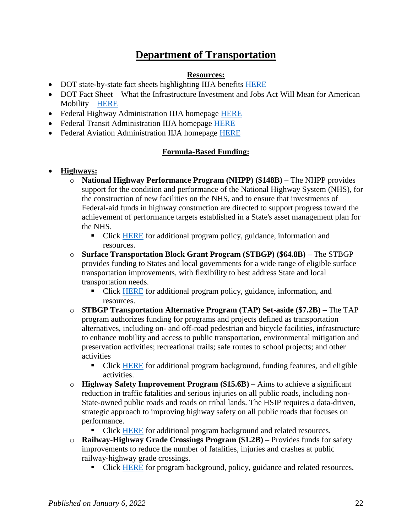# **Department of Transportation**

#### **Resources:**

- <span id="page-21-0"></span>• DOT state-by-state fact sheets highlighting IIJA benefits [HERE](https://www.transportation.gov/briefing-room/usdot-releases-state-state-fact-sheets-highlighting-benefits-bipartisan)
- DOT Fact Sheet What the Infrastructure Investment and Jobs Act Will Mean for American Mobility – [HERE](https://www.transportation.gov/briefing-room/fact-sheet-what-bipartisan-infrastructure-deal-will-mean-american-mobility)
- Federal Highway Administration IIJA homepage **HERE**
- Federal Transit Administration IIJA homepage [HERE](https://www.transit.dot.gov/BID)
- Federal Aviation Administration IIJA homepage [HERE](https://www.faa.gov/bil)

#### **Formula-Based Funding:**

#### **Highways:**

- o **National Highway Performance Program (NHPP) (\$148B) –** The NHPP provides support for the condition and performance of the National Highway System (NHS), for the construction of new facilities on the NHS, and to ensure that investments of Federal-aid funds in highway construction are directed to support progress toward the achievement of performance targets established in a State's asset management plan for the NHS.
	- Click [HERE](https://www.fhwa.dot.gov/specialfunding/nhpp/) for additional program policy, guidance, information and resources.
- o **Surface Transportation Block Grant Program (STBGP) (\$64.8B) –** The STBGP provides funding to States and local governments for a wide range of eligible surface transportation improvements, with flexibility to best address State and local transportation needs.
	- Click [HERE](https://www.fhwa.dot.gov/specialfunding/stp/) for additional program policy, guidance, information, and resources.
- o **STBGP Transportation Alternative Program (TAP) Set-aside (\$7.2B) –** The TAP program authorizes funding for programs and projects defined as transportation alternatives, including on- and off-road pedestrian and bicycle facilities, infrastructure to enhance mobility and access to public transportation, environmental mitigation and preservation activities; recreational trails; safe routes to school projects; and other activities
	- Click [HERE](https://www.fhwa.dot.gov/fastact/factsheets/transportationalternativesfs.cfm) for additional program background, funding features, and eligible activities.
- o **Highway Safety Improvement Program (\$15.6B) –** Aims to achieve a significant reduction in traffic fatalities and serious injuries on all public roads, including non-State-owned public roads and roads on tribal lands. The HSIP requires a data-driven, strategic approach to improving highway safety on all public roads that focuses on performance.
	- Click [HERE](https://safety.fhwa.dot.gov/hsip/) for additional program background and related resources.
- o **Railway-Highway Grade Crossings Program (\$1.2B) –** Provides funds for safety improvements to reduce the number of fatalities, injuries and crashes at public railway-highway grade crossings.
	- Click [HERE](https://safety.fhwa.dot.gov/hsip/xings/) for program background, policy, guidance and related resources.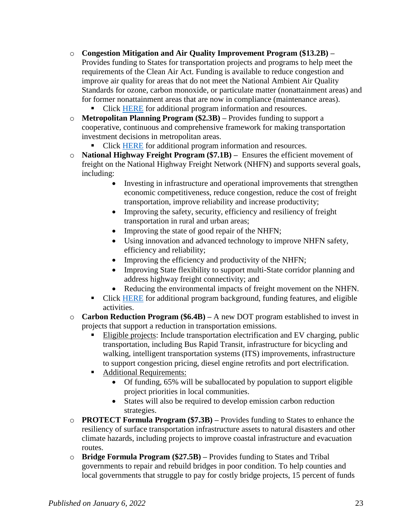o **Congestion Mitigation and Air Quality Improvement Program (\$13.2B) –**

Provides funding to States for transportation projects and programs to help meet the requirements of the Clean Air Act. Funding is available to reduce congestion and improve air quality for areas that do not meet the National Ambient Air Quality Standards for ozone, carbon monoxide, or particulate matter (nonattainment areas) and for former nonattainment areas that are now in compliance (maintenance areas).

• Click [HERE](https://www.fhwa.dot.gov/environment/air_quality/cmaq/) for additional program information and resources.

- o **Metropolitan Planning Program (\$2.3B) –** Provides funding to support a cooperative, continuous and comprehensive framework for making transportation investment decisions in metropolitan areas.
	- Click [HERE](https://www.transit.dot.gov/regulations-and-guidance/transportation-planning/metropolitan-planning-organization-mpo) for additional program information and resources.
- o **National Highway Freight Program (\$7.1B)** Ensures the efficient movement of freight on the National Highway Freight Network (NHFN) and supports several goals, including:
	- Investing in infrastructure and operational improvements that strengthen economic competitiveness, reduce congestion, reduce the cost of freight transportation, improve reliability and increase productivity;
	- Improving the safety, security, efficiency and resiliency of freight transportation in rural and urban areas;
	- Improving the state of good repair of the NHFN;
	- Using innovation and advanced technology to improve NHFN safety, efficiency and reliability;
	- Improving the efficiency and productivity of the NHFN;
	- Improving State flexibility to support multi-State corridor planning and address highway freight connectivity; and
	- Reducing the environmental impacts of freight movement on the NHFN.
	- Click [HERE](https://www.fhwa.dot.gov/fastact/factsheets/nhfpfs.cfm) for additional program background, funding features, and eligible activities.
- o **Carbon Reduction Program (\$6.4B) –** A new DOT program established to invest in projects that support a reduction in transportation emissions.
	- Eligible projects: Include transportation electrification and EV charging, public transportation, including Bus Rapid Transit, infrastructure for bicycling and walking, intelligent transportation systems (ITS) improvements, infrastructure to support congestion pricing, diesel engine retrofits and port electrification.
	- Additional Requirements:
		- Of funding, 65% will be suballocated by population to support eligible project priorities in local communities.
		- States will also be required to develop emission carbon reduction strategies.
- o **PROTECT Formula Program (\$7.3B) –** Provides funding to States to enhance the resiliency of surface transportation infrastructure assets to natural disasters and other climate hazards, including projects to improve coastal infrastructure and evacuation routes.
- o **Bridge Formula Program (\$27.5B) –** Provides funding to States and Tribal governments to repair and rebuild bridges in poor condition. To help counties and local governments that struggle to pay for costly bridge projects, 15 percent of funds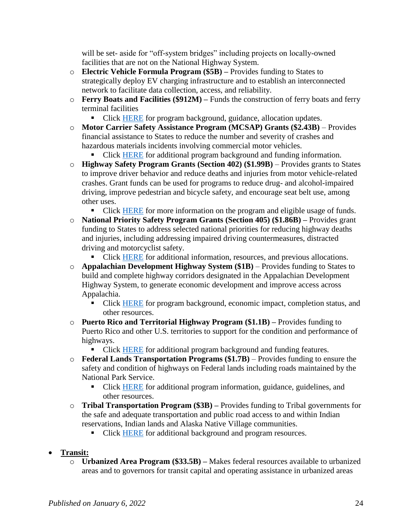will be set- aside for "off-system bridges" including projects on locally-owned facilities that are not on the National Highway System.

- o **Electric Vehicle Formula Program (\$5B) –** Provides funding to States to strategically deploy EV charging infrastructure and to establish an interconnected network to facilitate data collection, access, and reliability.
- o **Ferry Boats and Facilities (\$912M) –** Funds the construction of ferry boats and ferry terminal facilities
	- Click [HERE](https://www.fhwa.dot.gov/specialfunding/fbp/) for program background, guidance, allocation updates.
- o **Motor Carrier Safety Assistance Program (MCSAP) Grants (\$2.43B)** Provides financial assistance to States to reduce the number and severity of crashes and hazardous materials incidents involving commercial motor vehicles.

• Click [HERE](https://www.fmcsa.dot.gov/grants/mcsap-basic-incentive-grant/motor-carrier-safety-assistance-program-mcsap-grant) for additional program background and funding information.

o **Highway Safety Program Grants (Section 402) (\$1.99B)** – Provides grants to States to improve driver behavior and reduce deaths and injuries from motor vehicle-related crashes. Grant funds can be used for programs to reduce drug- and alcohol-impaired driving, improve pedestrian and bicycle safety, and encourage seat belt use, among other uses.

• Click [HERE](https://safety.fhwa.dot.gov/legislationandpolicy/policy/section402/) for more information on the program and eligible usage of funds.

- o **National Priority Safety Program Grants (Section 405) (\$1.86B) –** Provides grant funding to States to address selected national priorities for reducing highway deaths and injuries, including addressing impaired driving countermeasures, distracted driving and motorcyclist safety.
	- Click [HERE](https://www.nhtsa.gov/highway-safety-grants-program) for additional information, resources, and previous allocations.
- o **Appalachian Development Highway System (\$1B)** Provides funding to States to build and complete highway corridors designated in the Appalachian Development Highway System, to generate economic development and improve access across Appalachia.
	- Click [HERE](https://www.arc.gov/appalachian-development-highway-system/) for program background, economic impact, completion status, and other resources.
- o **Puerto Rico and Territorial Highway Program (\$1.1B) –** Provides funding to Puerto Rico and other U.S. territories to support for the condition and performance of highways.
	- Click [HERE](https://www.fhwa.dot.gov/fastact/factsheets/territorialprhighwaysfs.cfm) for additional program background and funding features.
- o **Federal Lands Transportation Programs (\$1.7B)** Provides funding to ensure the safety and condition of highways on Federal lands including roads maintained by the National Park Service.
	- Click [HERE](https://highways.dot.gov/federal-lands/programs/transportation) for additional program information, guidance, guidelines, and other resources.
- o **Tribal Transportation Program (\$3B) –** Provides funding to Tribal governments for the safe and adequate transportation and public road access to and within Indian reservations, Indian lands and Alaska Native Village communities.
	- Click [HERE](https://highways.dot.gov/federal-lands/programs-tribal) for additional background and program resources.
- **Transit:**
	- o **Urbanized Area Program (\$33.5B) –** Makes federal resources available to urbanized areas and to governors for transit capital and operating assistance in urbanized areas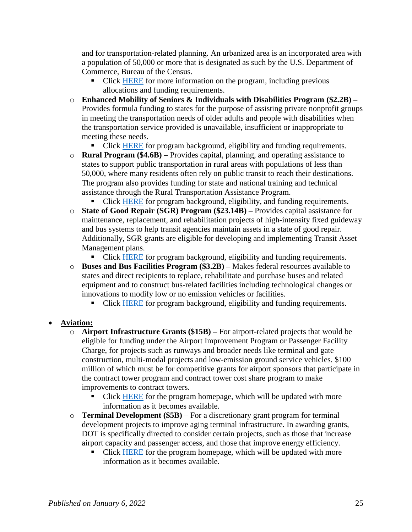and for transportation-related planning. An urbanized area is an incorporated area with a population of 50,000 or more that is designated as such by the U.S. Department of Commerce, Bureau of the Census.

- Click [HERE](https://www.transit.dot.gov/funding/grants/urbanized-area-formula-grants-5307) for more information on the program, including previous allocations and funding requirements.
- o **Enhanced Mobility of Seniors & Individuals with Disabilities Program (\$2.2B) –** Provides formula funding to states for the purpose of assisting private nonprofit groups in meeting the transportation needs of older adults and people with disabilities when the transportation service provided is unavailable, insufficient or inappropriate to meeting these needs.
	- Click [HERE](https://www.transit.dot.gov/funding/grants/enhanced-mobility-seniors-individuals-disabilities-section-5310) for program background, eligibility and funding requirements.
- o **Rural Program (\$4.6B) –** Provides capital, planning, and operating assistance to states to support public transportation in rural areas with populations of less than 50,000, where many residents often rely on public transit to reach their destinations. The program also provides funding for state and national training and technical assistance through the Rural Transportation Assistance Program.
	- Click [HERE](https://www.transit.dot.gov/rural-formula-grants-5311) for program background, eligibility, and funding requirements.
- o **State of Good Repair (SGR) Program (\$23.14B) –** Provides capital assistance for maintenance, replacement, and rehabilitation projects of high-intensity fixed guideway and bus systems to help transit agencies maintain assets in a state of good repair. Additionally, SGR grants are eligible for developing and implementing Transit Asset Management plans.
	- Click [HERE](https://www.transit.dot.gov/funding/grants/state-good-repair-grants-5337) for program background, eligibility and funding requirements.
- o **Buses and Bus Facilities Program (\$3.2B) –** Makes federal resources available to states and direct recipients to replace, rehabilitate and purchase buses and related equipment and to construct bus-related facilities including technological changes or innovations to modify low or no emission vehicles or facilities.
	- Click [HERE](https://www.transit.dot.gov/bus-program) for program background, eligibility and funding requirements.
- **Aviation:**
	- o **Airport Infrastructure Grants (\$15B) –** For airport-related projects that would be eligible for funding under the Airport Improvement Program or Passenger Facility Charge, for projects such as runways and broader needs like terminal and gate construction, multi-modal projects and low-emission ground service vehicles. \$100 million of which must be for competitive grants for airport sponsors that participate in the contract tower program and contract tower cost share program to make improvements to contract towers.
		- Click [HERE](https://www.faa.gov/bil/airport-infrastructure) for the program homepage, which will be updated with more information as it becomes available.
	- o **Terminal Development (\$5B)** For a discretionary grant program for terminal development projects to improve aging terminal infrastructure. In awarding grants, DOT is specifically directed to consider certain projects, such as those that increase airport capacity and passenger access, and those that improve energy efficiency.
		- Click [HERE](https://www.faa.gov/bil/airport-terminals) for the program homepage, which will be updated with more information as it becomes available.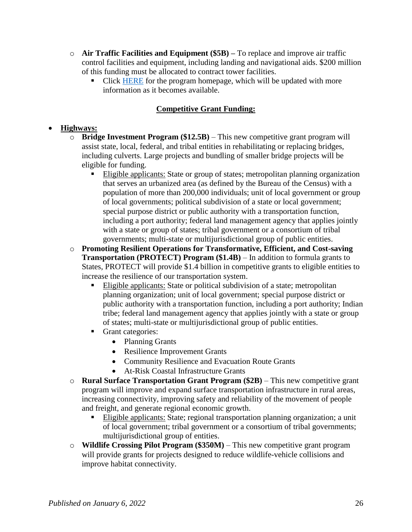- o **Air Traffic Facilities and Equipment (\$5B) –** To replace and improve air traffic control facilities and equipment, including landing and navigational aids. \$200 million of this funding must be allocated to contract tower facilities.
	- Click [HERE](https://www.faa.gov/bil/air-traffic-facilities) for the program homepage, which will be updated with more information as it becomes available.

# **Competitive Grant Funding:**

## **Highways:**

- o **Bridge Investment Program (\$12.5B)**  This new competitive grant program will assist state, local, federal, and tribal entities in rehabilitating or replacing bridges, including culverts. Large projects and bundling of smaller bridge projects will be eligible for funding.
	- Eligible applicants: State or group of states; metropolitan planning organization that serves an urbanized area (as defined by the Bureau of the Census) with a population of more than 200,000 individuals; unit of local government or group of local governments; political subdivision of a state or local government; special purpose district or public authority with a transportation function, including a port authority; federal land management agency that applies jointly with a state or group of states; tribal government or a consortium of tribal governments; multi-state or multijurisdictional group of public entities.
- o **Promoting Resilient Operations for Transformative, Efficient, and Cost-saving Transportation (PROTECT) Program (\$1.4B)** – In addition to formula grants to States, PROTECT will provide \$1.4 billion in competitive grants to eligible entities to increase the resilience of our transportation system.
	- Eligible applicants: State or political subdivision of a state; metropolitan planning organization; unit of local government; special purpose district or public authority with a transportation function, including a port authority; Indian tribe; federal land management agency that applies jointly with a state or group of states; multi-state or multijurisdictional group of public entities.
	- Grant categories:
		- Planning Grants
		- Resilience Improvement Grants
		- Community Resilience and Evacuation Route Grants
		- At-Risk Coastal Infrastructure Grants
- o **Rural Surface Transportation Grant Program (\$2B)**  This new competitive grant program will improve and expand surface transportation infrastructure in rural areas, increasing connectivity, improving safety and reliability of the movement of people and freight, and generate regional economic growth.
	- Eligible applicants: State; regional transportation planning organization; a unit of local government; tribal government or a consortium of tribal governments; multijurisdictional group of entities.
- o **Wildlife Crossing Pilot Program (\$350M)**  This new competitive grant program will provide grants for projects designed to reduce wildlife-vehicle collisions and improve habitat connectivity.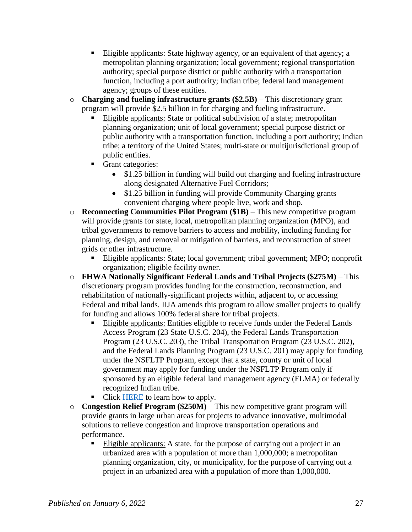- Eligible applicants: State highway agency, or an equivalent of that agency; a metropolitan planning organization; local government; regional transportation authority; special purpose district or public authority with a transportation function, including a port authority; Indian tribe; federal land management agency; groups of these entities.
- o **Charging and fueling infrastructure grants (\$2.5B)**  This discretionary grant program will provide \$2.5 billion in for charging and fueling infrastructure.
	- Eligible applicants: State or political subdivision of a state; metropolitan planning organization; unit of local government; special purpose district or public authority with a transportation function, including a port authority; Indian tribe; a territory of the United States; multi-state or multijurisdictional group of public entities.
	- Grant categories:
		- \$1.25 billion in funding will build out charging and fueling infrastructure along designated Alternative Fuel Corridors;
		- \$1.25 billion in funding will provide Community Charging grants convenient charging where people live, work and shop.
- o **Reconnecting Communities Pilot Program (\$1B)**  This new competitive program will provide grants for state, local, metropolitan planning organization (MPO), and tribal governments to remove barriers to access and mobility, including funding for planning, design, and removal or mitigation of barriers, and reconstruction of street grids or other infrastructure.
	- Eligible applicants: State; local government; tribal government; MPO; nonprofit organization; eligible facility owner.
- o **FHWA Nationally Significant Federal Lands and Tribal Projects (\$275M)**  This discretionary program provides funding for the construction, reconstruction, and rehabilitation of nationally-significant projects within, adjacent to, or accessing Federal and tribal lands. IIJA amends this program to allow smaller projects to qualify for funding and allows 100% federal share for tribal projects.
	- Eligible applicants: Entities eligible to receive funds under the Federal Lands Access Program (23 State U.S.C. 204), the Federal Lands Transportation Program (23 U.S.C. 203), the Tribal Transportation Program (23 U.S.C. 202), and the Federal Lands Planning Program (23 U.S.C. 201) may apply for funding under the NSFLTP Program, except that a state, county or unit of local government may apply for funding under the NSFLTP Program only if sponsored by an eligible federal land management agency (FLMA) or federally recognized Indian tribe.
	- Click [HERE](https://highways.dot.gov/federal-lands/programs/significant) to learn how to apply.
- o **Congestion Relief Program (\$250M)**  This new competitive grant program will provide grants in large urban areas for projects to advance innovative, multimodal solutions to relieve congestion and improve transportation operations and performance.
	- Eligible applicants: A state, for the purpose of carrying out a project in an urbanized area with a population of more than 1,000,000; a metropolitan planning organization, city, or municipality, for the purpose of carrying out a project in an urbanized area with a population of more than 1,000,000.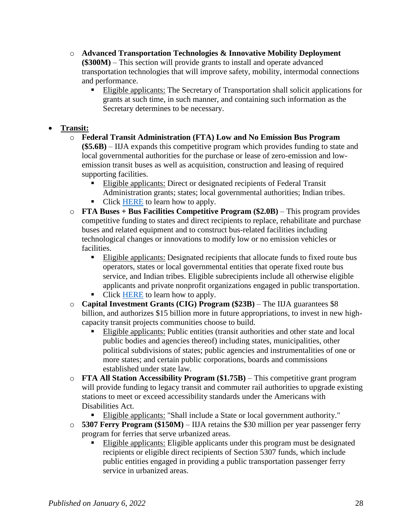- o **Advanced Transportation Technologies & Innovative Mobility Deployment (\$300M)** – This section will provide grants to install and operate advanced transportation technologies that will improve safety, mobility, intermodal connections and performance.
	- Eligible applicants: The Secretary of Transportation shall solicit applications for grants at such time, in such manner, and containing such information as the Secretary determines to be necessary.

## **Transit:**

- o **Federal Transit Administration (FTA) Low and No Emission Bus Program (\$5.6B)** – IIJA expands this competitive program which provides funding to state and local governmental authorities for the purchase or lease of zero-emission and lowemission transit buses as well as acquisition, construction and leasing of required supporting facilities.
	- Eligible applicants: Direct or designated recipients of Federal Transit Administration grants; states; local governmental authorities; Indian tribes.
	- Click [HERE](https://www.transit.dot.gov/lowno) to learn how to apply.
- o **FTA Buses + Bus Facilities Competitive Program (\$2.0B)**  This program provides competitive funding to states and direct recipients to replace, rehabilitate and purchase buses and related equipment and to construct bus-related facilities including technological changes or innovations to modify low or no emission vehicles or facilities.
	- Eligible applicants: Designated recipients that allocate funds to fixed route bus operators, states or local governmental entities that operate fixed route bus service, and Indian tribes. Eligible subrecipients include all otherwise eligible applicants and private nonprofit organizations engaged in public transportation.
	- Click [HERE](https://www.transit.dot.gov/bus-program) to learn how to apply.
- o **Capital Investment Grants (CIG) Program (\$23B)**  The IIJA guarantees \$8 billion, and authorizes \$15 billion more in future appropriations, to invest in new highcapacity transit projects communities choose to build.
	- Eligible applicants: Public entities (transit authorities and other state and local public bodies and agencies thereof) including states, municipalities, other political subdivisions of states; public agencies and instrumentalities of one or more states; and certain public corporations, boards and commissions established under state law.
- o **FTA All Station Accessibility Program (\$1.75B)**  This competitive grant program will provide funding to legacy transit and commuter rail authorities to upgrade existing stations to meet or exceed accessibility standards under the Americans with Disabilities Act.
	- Eligible applicants: "Shall include a State or local government authority."
- o **5307 Ferry Program (\$150M)**  IIJA retains the \$30 million per year passenger ferry program for ferries that serve urbanized areas.
	- Eligible applicants: Eligible applicants under this program must be designated recipients or eligible direct recipients of Section 5307 funds, which include public entities engaged in providing a public transportation passenger ferry service in urbanized areas.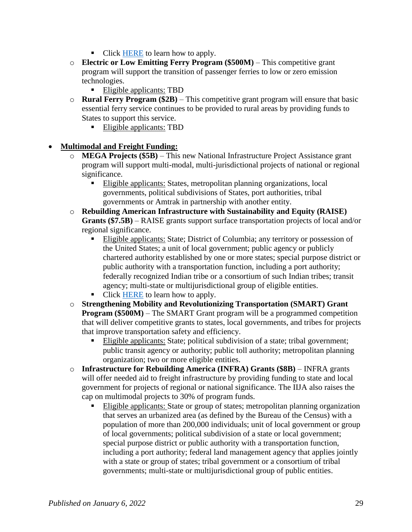- Click [HERE](https://www.transit.dot.gov/passenger-ferry-grants) to learn how to apply.
- o **Electric or Low Emitting Ferry Program (\$500M)**  This competitive grant program will support the transition of passenger ferries to low or zero emission technologies.
	- Eligible applicants: TBD
- o **Rural Ferry Program (\$2B)**  This competitive grant program will ensure that basic essential ferry service continues to be provided to rural areas by providing funds to States to support this service.
	- Eligible applicants: TBD

#### **Multimodal and Freight Funding:**

- **MEGA Projects (\$5B)** This new National Infrastructure Project Assistance grant program will support multi-modal, multi-jurisdictional projects of national or regional significance.
	- Eligible applicants: States, metropolitan planning organizations, local governments, political subdivisions of States, port authorities, tribal governments or Amtrak in partnership with another entity.
- o **Rebuilding American Infrastructure with Sustainability and Equity (RAISE) Grants (\$7.5B)** – RAISE grants support surface transportation projects of local and/or regional significance.
	- Eligible applicants: State; District of Columbia; any territory or possession of the United States; a unit of local government; public agency or publicly chartered authority established by one or more states; special purpose district or public authority with a transportation function, including a port authority; federally recognized Indian tribe or a consortium of such Indian tribes; transit agency; multi-state or multijurisdictional group of eligible entities.
	- Click [HERE](https://www.transportation.gov/RAISEgrants/about) to learn how to apply.
- o **Strengthening Mobility and Revolutionizing Transportation (SMART) Grant Program (\$500M)** – The SMART Grant program will be a programmed competition that will deliver competitive grants to states, local governments, and tribes for projects that improve transportation safety and efficiency.
	- Eligible applicants: State; political subdivision of a state; tribal government; public transit agency or authority; public toll authority; metropolitan planning organization; two or more eligible entities.
- o **Infrastructure for Rebuilding America (INFRA) Grants (\$8B)**  INFRA grants will offer needed aid to freight infrastructure by providing funding to state and local government for projects of regional or national significance. The IIJA also raises the cap on multimodal projects to 30% of program funds.
	- Eligible applicants: State or group of states; metropolitan planning organization that serves an urbanized area (as defined by the Bureau of the Census) with a population of more than 200,000 individuals; unit of local government or group of local governments; political subdivision of a state or local government; special purpose district or public authority with a transportation function, including a port authority; federal land management agency that applies jointly with a state or group of states; tribal government or a consortium of tribal governments; multi-state or multijurisdictional group of public entities.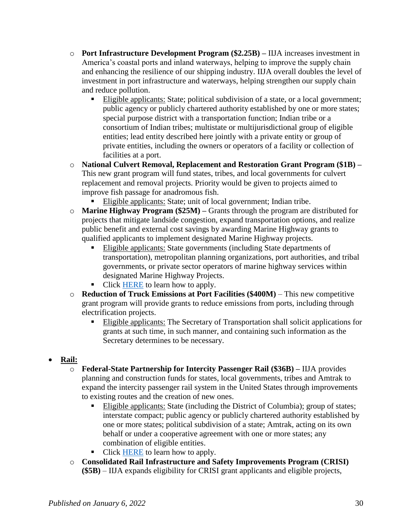- o **Port Infrastructure Development Program (\$2.25B) –** IIJA increases investment in America's coastal ports and inland waterways, helping to improve the supply chain and enhancing the resilience of our shipping industry. IIJA overall doubles the level of investment in port infrastructure and waterways, helping strengthen our supply chain and reduce pollution.
	- Eligible applicants: State; political subdivision of a state, or a local government; public agency or publicly chartered authority established by one or more states; special purpose district with a transportation function; Indian tribe or a consortium of Indian tribes; multistate or multijurisdictional group of eligible entities; lead entity described here jointly with a private entity or group of private entities, including the owners or operators of a facility or collection of facilities at a port.
- o **National Culvert Removal, Replacement and Restoration Grant Program (\$1B) –** This new grant program will fund states, tribes, and local governments for culvert replacement and removal projects. Priority would be given to projects aimed to improve fish passage for anadromous fish.
	- Eligible applicants: State; unit of local government; Indian tribe.
- o **Marine Highway Program (\$25M) –** Grants through the program are distributed for projects that mitigate landside congestion, expand transportation options, and realize public benefit and external cost savings by awarding Marine Highway grants to qualified applicants to implement designated Marine Highway projects.
	- Eligible applicants: State governments (including State departments of transportation), metropolitan planning organizations, port authorities, and tribal governments, or private sector operators of marine highway services within designated Marine Highway Projects.
	- Click [HERE](https://www.maritime.dot.gov/grants-finances/marine-highways/grants) to learn how to apply.
- o **Reduction of Truck Emissions at Port Facilities (\$400M)**  This new competitive grant program will provide grants to reduce emissions from ports, including through electrification projects.
	- Eligible applicants: The Secretary of Transportation shall solicit applications for grants at such time, in such manner, and containing such information as the Secretary determines to be necessary.
- **Rail:**
	- o **Federal-State Partnership for Intercity Passenger Rail (\$36B) –** IIJA provides planning and construction funds for states, local governments, tribes and Amtrak to expand the intercity passenger rail system in the United States through improvements to existing routes and the creation of new ones.
		- Eligible applicants: State (including the District of Columbia); group of states; interstate compact; public agency or publicly chartered authority established by one or more states; political subdivision of a state; Amtrak, acting on its own behalf or under a cooperative agreement with one or more states; any combination of eligible entities.
		- Click [HERE](https://railroads.dot.gov/grants-loans/competitive-discretionary-grant-programs/federal-state-partnership-state-good-repair-1#:~:text=Enhancement%20Grant%20Program-,Federal%2DState%20Partnership%20for%20State%20of%20Good%20Repair%20Grant%20Program,improve%20intercity%20passenger%20rail%20performance.) to learn how to apply.
	- o **Consolidated Rail Infrastructure and Safety Improvements Program (CRISI) (\$5B)** – IIJA expands eligibility for CRISI grant applicants and eligible projects,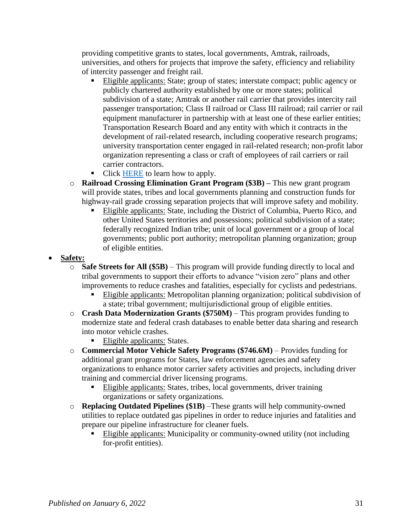providing competitive grants to states, local governments, Amtrak, railroads, universities, and others for projects that improve the safety, efficiency and reliability of intercity passenger and freight rail.

- Eligible applicants: State; group of states; interstate compact; public agency or publicly chartered authority established by one or more states; political subdivision of a state; Amtrak or another rail carrier that provides intercity rail passenger transportation; Class II railroad or Class III railroad; rail carrier or rail equipment manufacturer in partnership with at least one of these earlier entities; Transportation Research Board and any entity with which it contracts in the development of rail-related research, including cooperative research programs; university transportation center engaged in rail-related research; non-profit labor organization representing a class or craft of employees of rail carriers or rail carrier contractors.
- Click [HERE](https://railroads.dot.gov/grants-loans/competitive-discretionary-grant-programs/consolidated-rail-infrastructure-and-safety-2) to learn how to apply.
- o **Railroad Crossing Elimination Grant Program (\$3B) –** This new grant program will provide states, tribes and local governments planning and construction funds for highway-rail grade crossing separation projects that will improve safety and mobility.
	- Eligible applicants: State, including the District of Columbia, Puerto Rico, and other United States territories and possessions; political subdivision of a state; federally recognized Indian tribe; unit of local government or a group of local governments; public port authority; metropolitan planning organization; group of eligible entities.

## **Safety:**

- o **Safe Streets for All (\$5B)**  This program will provide funding directly to local and tribal governments to support their efforts to advance "vision zero" plans and other improvements to reduce crashes and fatalities, especially for cyclists and pedestrians.
	- Eligible applicants: Metropolitan planning organization; political subdivision of a state; tribal government; multijurisdictional group of eligible entities.
- o **Crash Data Modernization Grants (\$750M)** This program provides funding to modernize state and federal crash databases to enable better data sharing and research into motor vehicle crashes.
	- Eligible applicants: States.
- o **Commercial Motor Vehicle Safety Programs (\$746.6M)** Provides funding for additional grant programs for States, law enforcement agencies and safety organizations to enhance motor carrier safety activities and projects, including driver training and commercial driver licensing programs.
	- Eligible applicants: States, tribes, local governments, driver training organizations or safety organizations.
- o **Replacing Outdated Pipelines (\$1B)** –These grants will help community-owned utilities to replace outdated gas pipelines in order to reduce injuries and fatalities and prepare our pipeline infrastructure for cleaner fuels.
	- Eligible applicants: Municipality or community-owned utility (not including for-profit entities).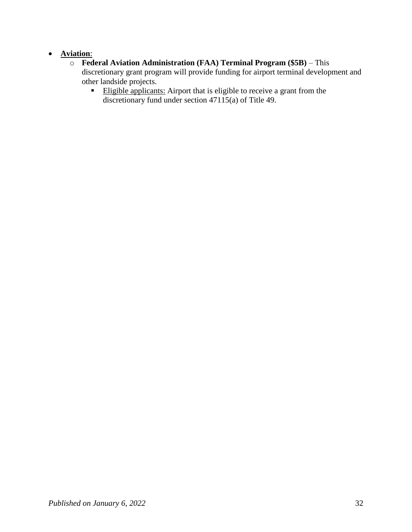## **Aviation**:

- o **Federal Aviation Administration (FAA) Terminal Program (\$5B)**  This discretionary grant program will provide funding for airport terminal development and other landside projects.
	- Eligible applicants: Airport that is eligible to receive a grant from the discretionary fund under section 47115(a) of Title 49.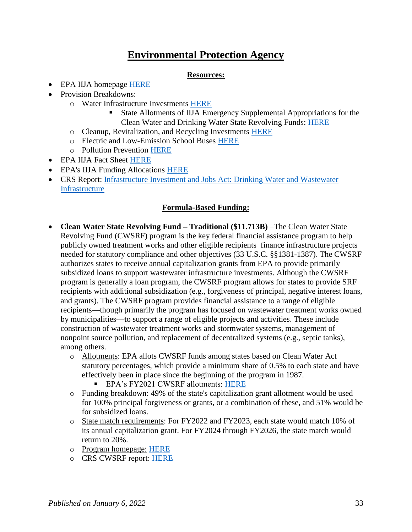# **Environmental Protection Agency**

#### **Resources:**

- <span id="page-32-0"></span>• EPA IIJA homepage **HERE**
- Provision Breakdowns:
	- o Water Infrastructure Investments [HERE](https://www.epa.gov/infrastructure/water-infrastructure-investments)
		- State Allotments of IIJA Emergency Supplemental Appropriations for the Clean Water and Drinking Water State Revolving Funds: [HERE](https://www.epa.gov/system/files/documents/2021-12/governors-bil-letter-final-508.pdf)
	- o Cleanup, Revitalization, and Recycling Investments [HERE](https://www.epa.gov/infrastructure/cleanup-revitalization-and-recycling-investments)
	- o Electric and Low-Emission School Buses [HERE](https://www.epa.gov/infrastructure/investments-electric-and-low-emission-school-buses)
	- o Pollution Prevention [HERE](https://www.epa.gov/infrastructure/investments-pollution-prevention)
- EPA IIJA Fact Sheet [HERE](https://www.epa.gov/newsreleases/fact-sheet-epa-bipartisan-infrastructure-law)
- EPA's IIJA Funding Allocations [HERE](https://www.epa.gov/infrastructure/explore-epas-bil-funding-allocations)
- CRS Report: [Infrastructure Investment and Jobs Act: Drinking Water and Wastewater](https://crsreports.congress.gov/product/pdf/R/R46892)  **[Infrastructure](https://crsreports.congress.gov/product/pdf/R/R46892)**

## **Formula-Based Funding:**

- **Clean Water State Revolving Fund – Traditional (\$11.713B)** –The Clean Water State Revolving Fund (CWSRF) program is the key federal financial assistance program to help publicly owned treatment works and other eligible recipients finance infrastructure projects needed for statutory compliance and other objectives (33 U.S.C. §§1381-1387). The CWSRF authorizes states to receive annual capitalization grants from EPA to provide primarily subsidized loans to support wastewater infrastructure investments. Although the CWSRF program is generally a loan program, the CWSRF program allows for states to provide SRF recipients with additional subsidization (e.g., forgiveness of principal, negative interest loans, and grants). The CWSRF program provides financial assistance to a range of eligible recipients—though primarily the program has focused on wastewater treatment works owned by municipalities—to support a range of eligible projects and activities. These include construction of wastewater treatment works and stormwater systems, management of nonpoint source pollution, and replacement of decentralized systems (e.g., septic tanks), among others.
	- o Allotments: EPA allots CWSRF funds among states based on Clean Water Act statutory percentages, which provide a minimum share of 0.5% to each state and have effectively been in place since the beginning of the program in 1987.
		- **EPA's FY2021 CWSRF allotments: [HERE](https://www.epa.gov/sites/default/files/2021-03/documents/2021_cwsrf_allotments.pdf)**
	- o Funding breakdown: 49% of the state's capitalization grant allotment would be used for 100% principal forgiveness or grants, or a combination of these, and 51% would be for subsidized loans.
	- o State match requirements: For FY2022 and FY2023, each state would match 10% of its annual capitalization grant. For FY2024 through FY2026, the state match would return to 20%.
	- o Program homepage: [HERE](https://www.epa.gov/cwsrf)
	- o CRS CWSRF report: [HERE](https://crsreports.congress.gov/product/pdf/R/R44963)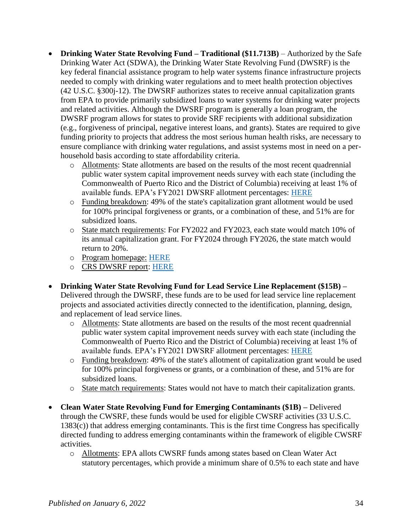- **Drinking Water State Revolving Fund – Traditional (\$11.713B)** Authorized by the Safe Drinking Water Act (SDWA), the Drinking Water State Revolving Fund (DWSRF) is the key federal financial assistance program to help water systems finance infrastructure projects needed to comply with drinking water regulations and to meet health protection objectives (42 U.S.C. §300j-12). The DWSRF authorizes states to receive annual capitalization grants from EPA to provide primarily subsidized loans to water systems for drinking water projects and related activities. Although the DWSRF program is generally a loan program, the DWSRF program allows for states to provide SRF recipients with additional subsidization (e.g., forgiveness of principal, negative interest loans, and grants). States are required to give funding priority to projects that address the most serious human health risks, are necessary to ensure compliance with drinking water regulations, and assist systems most in need on a perhousehold basis according to state affordability criteria.
	- o Allotments: State allotments are based on the results of the most recent quadrennial public water system capital improvement needs survey with each state (including the Commonwealth of Puerto Rico and the District of Columbia) receiving at least 1% of available funds. EPA's FY2021 DWSRF allotment percentages: [HERE](https://www.epa.gov/dwsrf/2017-2021-allotment-federal-funds-states-tribes-and-territories)
	- o Funding breakdown: 49% of the state's capitalization grant allotment would be used for 100% principal forgiveness or grants, or a combination of these, and 51% are for subsidized loans.
	- o State match requirements: For FY2022 and FY2023, each state would match 10% of its annual capitalization grant. For FY2024 through FY2026, the state match would return to 20%.
	- o Program homepage: [HERE](https://www.epa.gov/dwsrf)
	- o CRS DWSRF report: [HERE](https://crsreports.congress.gov/product/pdf/R/R45304)
- **Drinking Water State Revolving Fund for Lead Service Line Replacement (\$15B) –** Delivered through the DWSRF, these funds are to be used for lead service line replacement projects and associated activities directly connected to the identification, planning, design, and replacement of lead service lines.
	- o Allotments: State allotments are based on the results of the most recent quadrennial public water system capital improvement needs survey with each state (including the Commonwealth of Puerto Rico and the District of Columbia) receiving at least 1% of available funds. EPA's FY2021 DWSRF allotment percentages: [HERE](https://www.epa.gov/dwsrf/2017-2021-allotment-federal-funds-states-tribes-and-territories)
	- o Funding breakdown: 49% of the state's allotment of capitalization grant would be used for 100% principal forgiveness or grants, or a combination of these, and 51% are for subsidized loans.
	- o State match requirements: States would not have to match their capitalization grants.
- **Clean Water State Revolving Fund for Emerging Contaminants (\$1B) –** Delivered through the CWSRF, these funds would be used for eligible CWSRF activities (33 U.S.C. 1383(c)) that address emerging contaminants. This is the first time Congress has specifically directed funding to address emerging contaminants within the framework of eligible CWSRF activities.
	- o Allotments: EPA allots CWSRF funds among states based on Clean Water Act statutory percentages, which provide a minimum share of 0.5% to each state and have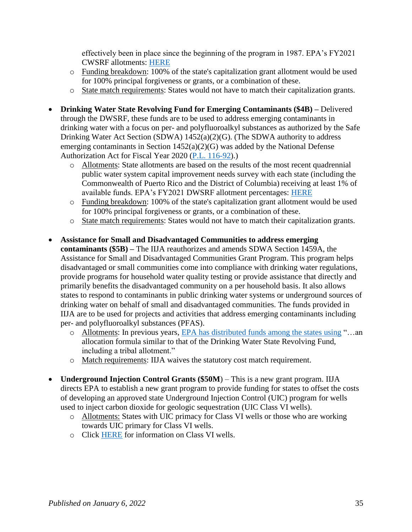effectively been in place since the beginning of the program in 1987. EPA's FY2021 CWSRF allotments: [HERE](https://www.epa.gov/sites/default/files/2021-03/documents/2021_cwsrf_allotments.pdf)

- o Funding breakdown: 100% of the state's capitalization grant allotment would be used for 100% principal forgiveness or grants, or a combination of these.
- o State match requirements: States would not have to match their capitalization grants.
- **Drinking Water State Revolving Fund for Emerging Contaminants (\$4B) –** Delivered through the DWSRF, these funds are to be used to address emerging contaminants in drinking water with a focus on per- and polyfluoroalkyl substances as authorized by the Safe Drinking Water Act Section (SDWA) 1452(a)(2)(G). (The SDWA authority to address emerging contaminants in Section 1452(a)(2)(G) was added by the National Defense Authorization Act for Fiscal Year 2020 [\(P.L. 116-92\)](http://www.congress.gov/cgi-lis/bdquery/R?d116:FLD002:@1(116+92)).)
	- o Allotments: State allotments are based on the results of the most recent quadrennial public water system capital improvement needs survey with each state (including the Commonwealth of Puerto Rico and the District of Columbia) receiving at least 1% of available funds. EPA's FY2021 DWSRF allotment percentages: [HERE](https://www.epa.gov/dwsrf/2017-2021-allotment-federal-funds-states-tribes-and-territories)
	- o Funding breakdown: 100% of the state's capitalization grant allotment would be used for 100% principal forgiveness or grants, or a combination of these.
	- o State match requirements: States would not have to match their capitalization grants.
- **Assistance for Small and Disadvantaged Communities to address emerging contaminants (\$5B) –** The IIJA reauthorizes and amends SDWA Section 1459A, the Assistance for Small and Disadvantaged Communities Grant Program. This program helps disadvantaged or small communities come into compliance with drinking water regulations, provide programs for household water quality testing or provide assistance that directly and primarily benefits the disadvantaged community on a per household basis. It also allows states to respond to contaminants in public drinking water systems or underground sources of drinking water on behalf of small and disadvantaged communities. The funds provided in IIJA are to be used for projects and activities that address emerging contaminants including per- and polyfluoroalkyl substances (PFAS).
	- o Allotments: In previous years, [EPA has distributed funds among the states using](https://urldefense.proofpoint.com/v2/url?u=https-3A__www.epa.gov_sites_production_files_2019-2D03_documents_assistance-5Ffor-5Fsmall-5Fand-5Fdisadvantaged-5Fcommunities-5Ffactsheet-5F508.pdf&d=DwMFAg&c=L93KkjKsAC98uTvC4KvQDdTDRzAeWDDRmG6S3YXllH0&r=ckh28vrjGbZIedOiwbLILgNerGvWnbE33L3iZ9HJrq0&m=5S8LIpSH5esJZe5qjO4joHbfmohHB0ynsvhKOBaHEtk&s=6G1Hf-2aozdCrvcvy8y8Pvj3LCd1ALSxJbneD7sDppU&e=) "…an allocation formula similar to that of the Drinking Water State Revolving Fund, including a tribal allotment."
	- o Match requirements: IIJA waives the statutory cost match requirement.
- **Underground Injection Control Grants (\$50M**) This is a new grant program. IIJA directs EPA to establish a new grant program to provide funding for states to offset the costs of developing an approved state Underground Injection Control (UIC) program for wells used to inject carbon dioxide for geologic sequestration (UIC Class VI wells).
	- o Allotments: States with UIC primacy for Class VI wells or those who are working towards UIC primary for Class VI wells.
	- o Click [HERE](https://www.epa.gov/uic/class-vi-wells-used-geologic-sequestration-co2) for information on Class VI wells.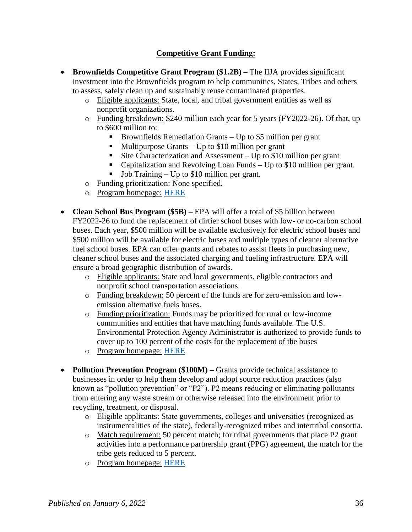# **Competitive Grant Funding:**

- **Brownfields Competitive Grant Program (\$1.2B) –** The IIJA provides significant investment into the Brownfields program to help communities, States, Tribes and others to assess, safely clean up and sustainably reuse contaminated properties.
	- o Eligible applicants: State, local, and tribal government entities as well as nonprofit organizations.
	- o Funding breakdown: \$240 million each year for 5 years (FY2022-26). Of that, up to \$600 million to:
		- Brownfields Remediation Grants Up to \$5 million per grant
		- Multipurpose Grants Up to \$10 million per grant
		- Site Characterization and Assessment Up to \$10 million per grant
		- Capitalization and Revolving Loan Funds Up to \$10 million per grant.
		- Job Training Up to \$10 million per grant.
	- o Funding prioritization: None specified.
	- o Program homepage: [HERE](https://www.epa.gov/brownfields)
- **Clean School Bus Program (\$5B) –** EPA will offer a total of \$5 billion between FY2022-26 to fund the replacement of dirtier school buses with low- or no-carbon school buses. Each year, \$500 million will be available exclusively for electric school buses and \$500 million will be available for electric buses and multiple types of cleaner alternative fuel school buses. EPA can offer grants and rebates to assist fleets in purchasing new, cleaner school buses and the associated charging and fueling infrastructure. EPA will ensure a broad geographic distribution of awards.
	- o Eligible applicants: State and local governments, eligible contractors and nonprofit school transportation associations.
	- o Funding breakdown: 50 percent of the funds are for zero-emission and lowemission alternative fuels buses.
	- o Funding prioritization: Funds may be prioritized for rural or low-income communities and entities that have matching funds available. The U.S. Environmental Protection Agency Administrator is authorized to provide funds to cover up to 100 percent of the costs for the replacement of the buses
	- o Program homepage: [HERE](https://www.epa.gov/transportation-air-pollution-and-climate-change/clean-school-bus-plan)
- **Pollution Prevention Program (\$100M)** Grants provide technical assistance to businesses in order to help them develop and adopt source reduction practices (also known as "pollution prevention" or "P2"). P2 means reducing or eliminating pollutants from entering any waste stream or otherwise released into the environment prior to recycling, treatment, or disposal.
	- o Eligible applicants: State governments, colleges and universities (recognized as instrumentalities of the state), federally-recognized tribes and intertribal consortia.
	- o Match requirement: 50 percent match; for tribal governments that place P2 grant activities into a performance partnership grant (PPG) agreement, the match for the tribe gets reduced to 5 percent.
	- o Program homepage: [HERE](https://www.epa.gov/p2)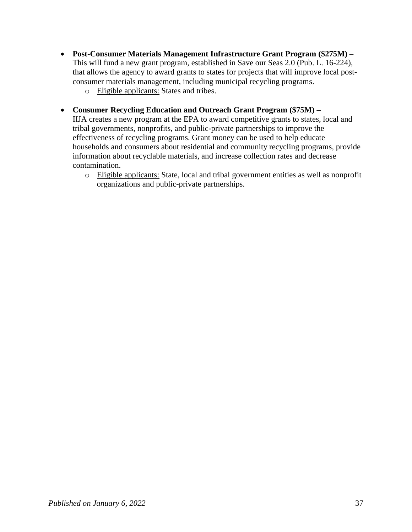- **Post-Consumer Materials Management Infrastructure Grant Program (\$275M) –** This will fund a new grant program, established in Save our Seas 2.0 (Pub. L. 16-224), that allows the agency to award grants to states for projects that will improve local postconsumer materials management, including municipal recycling programs.
	- o Eligible applicants: States and tribes.
- **Consumer Recycling Education and Outreach Grant Program (\$75M) –**

IIJA creates a new program at the EPA to award competitive grants to states, local and tribal governments, nonprofits, and public-private partnerships to improve the effectiveness of recycling programs. Grant money can be used to help educate households and consumers about residential and community recycling programs, provide information about recyclable materials, and increase collection rates and decrease contamination.

o Eligible applicants: State, local and tribal government entities as well as nonprofit organizations and public-private partnerships.